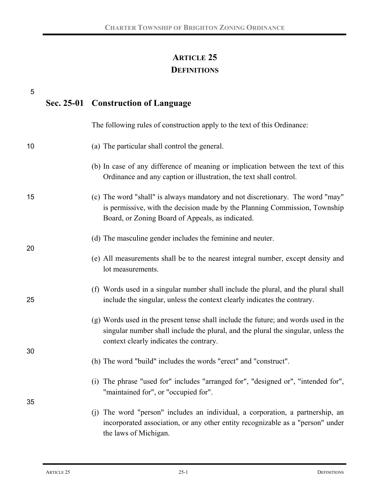# **ARTICLE 25 DEFINITIONS**

| 5  | Sec. 25-01 Construction of Language |                                                                                                                                                                                                                     |
|----|-------------------------------------|---------------------------------------------------------------------------------------------------------------------------------------------------------------------------------------------------------------------|
|    |                                     | The following rules of construction apply to the text of this Ordinance:                                                                                                                                            |
| 10 |                                     | (a) The particular shall control the general.                                                                                                                                                                       |
|    |                                     | (b) In case of any difference of meaning or implication between the text of this<br>Ordinance and any caption or illustration, the text shall control.                                                              |
| 15 |                                     | (c) The word "shall" is always mandatory and not discretionary. The word "may"<br>is permissive, with the decision made by the Planning Commission, Township<br>Board, or Zoning Board of Appeals, as indicated.    |
| 20 |                                     | (d) The masculine gender includes the feminine and neuter.                                                                                                                                                          |
|    |                                     | (e) All measurements shall be to the nearest integral number, except density and<br>lot measurements.                                                                                                               |
| 25 |                                     | (f) Words used in a singular number shall include the plural, and the plural shall<br>include the singular, unless the context clearly indicates the contrary.                                                      |
|    |                                     | (g) Words used in the present tense shall include the future; and words used in the<br>singular number shall include the plural, and the plural the singular, unless the<br>context clearly indicates the contrary. |
| 30 |                                     | (h) The word "build" includes the words "erect" and "construct".                                                                                                                                                    |
|    |                                     | (i) The phrase "used for" includes "arranged for", "designed or", "intended for",<br>"maintained for", or "occupied for".                                                                                           |
| 35 |                                     | The word "person" includes an individual, a corporation, a partnership, an<br>(i)<br>incorporated association, or any other entity recognizable as a "person" under<br>the laws of Michigan.                        |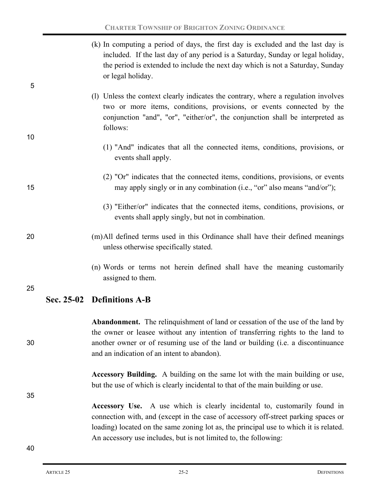| 5  |                                                                                               | (k) In computing a period of days, the first day is excluded and the last day is<br>included. If the last day of any period is a Saturday, Sunday or legal holiday,<br>the period is extended to include the next day which is not a Saturday, Sunday<br>or legal holiday.                                 |
|----|-----------------------------------------------------------------------------------------------|------------------------------------------------------------------------------------------------------------------------------------------------------------------------------------------------------------------------------------------------------------------------------------------------------------|
|    |                                                                                               | (1) Unless the context clearly indicates the contrary, where a regulation involves<br>two or more items, conditions, provisions, or events connected by the<br>conjunction "and", "or", "either/or", the conjunction shall be interpreted as<br>follows:                                                   |
| 10 |                                                                                               | (1) "And" indicates that all the connected items, conditions, provisions, or<br>events shall apply.                                                                                                                                                                                                        |
| 15 |                                                                                               | (2) "Or" indicates that the connected items, conditions, provisions, or events<br>may apply singly or in any combination (i.e., "or" also means "and/or");                                                                                                                                                 |
|    |                                                                                               | (3) "Either/or" indicates that the connected items, conditions, provisions, or<br>events shall apply singly, but not in combination.                                                                                                                                                                       |
| 20 |                                                                                               | (m)All defined terms used in this Ordinance shall have their defined meanings<br>unless otherwise specifically stated.                                                                                                                                                                                     |
| 25 | (n) Words or terms not herein defined shall have the meaning customarily<br>assigned to them. |                                                                                                                                                                                                                                                                                                            |
|    |                                                                                               | Sec. 25-02 Definitions A-B                                                                                                                                                                                                                                                                                 |
| 30 |                                                                                               | <b>Abandonment.</b> The relinquishment of land or cessation of the use of the land by<br>the owner or leasee without any intention of transferring rights to the land to<br>another owner or of resuming use of the land or building (i.e. a discontinuance<br>and an indication of an intent to abandon). |
|    |                                                                                               | Accessory Building. A building on the same lot with the main building or use,<br>but the use of which is clearly incidental to that of the main building or use.                                                                                                                                           |
| 35 |                                                                                               | Accessory Use. A use which is clearly incidental to, customarily found in<br>connection with, and (except in the case of accessory off-street parking spaces or<br>loading) located on the same zoning lot as, the principal use to which it is related.                                                   |

An accessory use includes, but is not limited to, the following: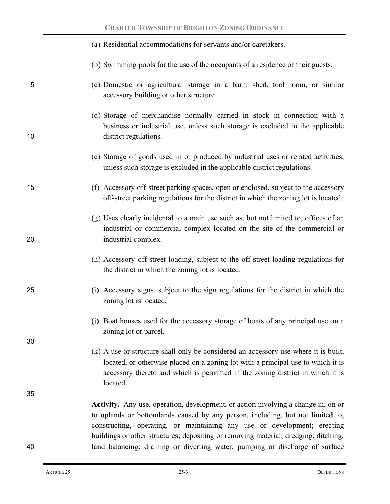|    | (a) Residential accommodations for servants and/or caretakers.                                                                                                                                                                                                                                                                         |  |  |
|----|----------------------------------------------------------------------------------------------------------------------------------------------------------------------------------------------------------------------------------------------------------------------------------------------------------------------------------------|--|--|
|    | (b) Swimming pools for the use of the occupants of a residence or their guests.                                                                                                                                                                                                                                                        |  |  |
| 5  | (c) Domestic or agricultural storage in a barn, shed, tool room, or similar<br>accessory building or other structure.                                                                                                                                                                                                                  |  |  |
| 10 | (d) Storage of merchandise normally carried in stock in connection with a<br>business or industrial use, unless such storage is excluded in the applicable<br>district regulations.                                                                                                                                                    |  |  |
|    | (e) Storage of goods used in or produced by industrial uses or related activities,<br>unless such storage is excluded in the applicable district regulations.                                                                                                                                                                          |  |  |
| 15 | (f) Accessory off-street parking spaces, open or enclosed, subject to the accessory<br>off-street parking regulations for the district in which the zoning lot is located.                                                                                                                                                             |  |  |
| 20 | (g) Uses clearly incidental to a main use such as, but not limited to, offices of an<br>industrial or commercial complex located on the site of the commercial or<br>industrial complex.                                                                                                                                               |  |  |
|    | (h) Accessory off-street loading, subject to the off-street loading regulations for<br>the district in which the zoning lot is located.                                                                                                                                                                                                |  |  |
| 25 | (i) Accessory signs, subject to the sign regulations for the district in which the<br>zoning lot is located.                                                                                                                                                                                                                           |  |  |
| 30 | (i) Boat houses used for the accessory storage of boats of any principal use on a<br>zoning lot or parcel.                                                                                                                                                                                                                             |  |  |
|    | (k) A use or structure shall only be considered an accessory use where it is built,<br>located, or otherwise placed on a zoning lot with a principal use to which it is<br>accessory thereto and which is permitted in the zoning district in which it is<br>located.                                                                  |  |  |
| 35 |                                                                                                                                                                                                                                                                                                                                        |  |  |
|    | Activity. Any use, operation, development, or action involving a change in, on or<br>to uplands or bottomlands caused by any person, including, but not limited to,<br>constructing, operating, or maintaining any use or development; erecting<br>buildings or other structures; depositing or removing material; dredging; ditching; |  |  |
| 40 | land balancing; draining or diverting water; pumping or discharge of surface                                                                                                                                                                                                                                                           |  |  |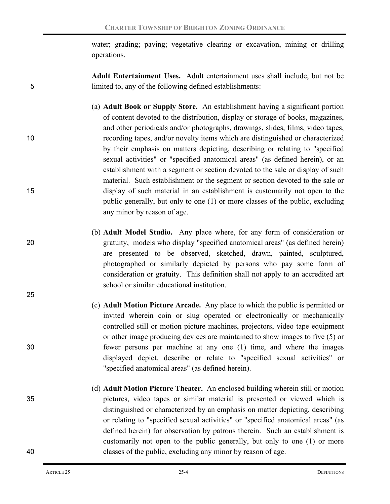water; grading; paving; vegetative clearing or excavation, mining or drilling operations.

**Adult Entertainment Uses.**Adult entertainment uses shall include, but not be 5 limited to, any of the following defined establishments:

- (a) **Adult Book or Supply Store.**An establishment having a significant portion of content devoted to the distribution, display or storage of books, magazines, and other periodicals and/or photographs, drawings, slides, films, video tapes, 10 recording tapes, and/or novelty items which are distinguished or characterized by their emphasis on matters depicting, describing or relating to "specified sexual activities" or "specified anatomical areas" (as defined herein), or an establishment with a segment or section devoted to the sale or display of such material. Such establishment or the segment or section devoted to the sale or 15 display of such material in an establishment is customarily not open to the public generally, but only to one (1) or more classes of the public, excluding any minor by reason of age.
- 20 gratuity, models who display "specified anatomical areas" (as defined herein)
- 25
- 

are presented to be observed, sketched, drawn, painted, sculptured, photographed or similarly depicted by persons who pay some form of consideration or gratuity. This definition shall not apply to an accredited art school or similar educational institution. (c) **Adult Motion Picture Arcade.**Any place to which the public is permitted or

(b) **Adult Model Studio.** Any place where, for any form of consideration or

- invited wherein coin or slug operated or electronically or mechanically controlled still or motion picture machines, projectors, video tape equipment or other image producing devices are maintained to show images to five (5) or 30 fewer persons per machine at any one (1) time, and where the images displayed depict, describe or relate to "specified sexual activities" or "specified anatomical areas" (as defined herein).
- (d) **Adult Motion Picture Theater.**An enclosed building wherein still or motion 35 pictures, video tapes or similar material is presented or viewed which is distinguished or characterized by an emphasis on matter depicting, describing or relating to "specified sexual activities" or "specified anatomical areas" (as defined herein) for observation by patrons therein. Such an establishment is customarily not open to the public generally, but only to one (1) or more 40 classes of the public, excluding any minor by reason of age.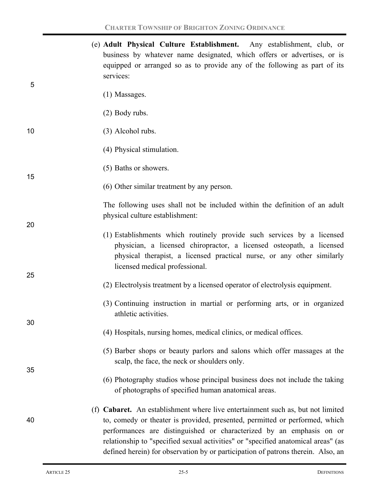|    | (e) Adult Physical Culture Establishment. Any establishment, club, or<br>business by whatever name designated, which offers or advertises, or is<br>equipped or arranged so as to provide any of the following as part of its<br>services:                                                                                                                                                                      |
|----|-----------------------------------------------------------------------------------------------------------------------------------------------------------------------------------------------------------------------------------------------------------------------------------------------------------------------------------------------------------------------------------------------------------------|
| 5  | (1) Massages.                                                                                                                                                                                                                                                                                                                                                                                                   |
|    | $(2)$ Body rubs.                                                                                                                                                                                                                                                                                                                                                                                                |
| 10 | (3) Alcohol rubs.                                                                                                                                                                                                                                                                                                                                                                                               |
|    | (4) Physical stimulation.                                                                                                                                                                                                                                                                                                                                                                                       |
| 15 | (5) Baths or showers.                                                                                                                                                                                                                                                                                                                                                                                           |
|    | (6) Other similar treatment by any person.                                                                                                                                                                                                                                                                                                                                                                      |
| 20 | The following uses shall not be included within the definition of an adult<br>physical culture establishment:                                                                                                                                                                                                                                                                                                   |
| 25 | (1) Establishments which routinely provide such services by a licensed<br>physician, a licensed chiropractor, a licensed osteopath, a licensed<br>physical therapist, a licensed practical nurse, or any other similarly<br>licensed medical professional.                                                                                                                                                      |
|    | (2) Electrolysis treatment by a licensed operator of electrolysis equipment.                                                                                                                                                                                                                                                                                                                                    |
| 30 | (3) Continuing instruction in martial or performing arts, or in organized<br>athletic activities.                                                                                                                                                                                                                                                                                                               |
|    | (4) Hospitals, nursing homes, medical clinics, or medical offices.                                                                                                                                                                                                                                                                                                                                              |
| 35 | (5) Barber shops or beauty parlors and salons which offer massages at the<br>scalp, the face, the neck or shoulders only.                                                                                                                                                                                                                                                                                       |
|    | (6) Photography studios whose principal business does not include the taking<br>of photographs of specified human anatomical areas.                                                                                                                                                                                                                                                                             |
| 40 | (f) Cabaret. An establishment where live entertainment such as, but not limited<br>to, comedy or theater is provided, presented, permitted or performed, which<br>performances are distinguished or characterized by an emphasis on or<br>relationship to "specified sexual activities" or "specified anatomical areas" (as<br>defined herein) for observation by or participation of patrons therein. Also, an |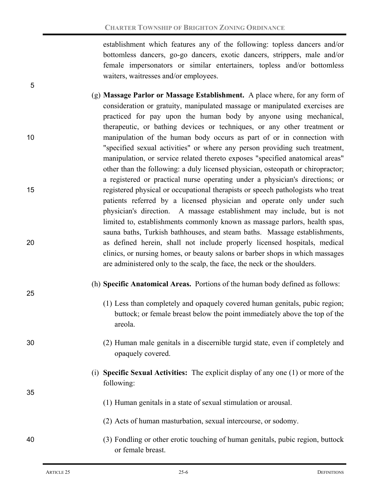establishment which features any of the following: topless dancers and/or bottomless dancers, go-go dancers, exotic dancers, strippers, male and/or female impersonators or similar entertainers, topless and/or bottomless waiters, waitresses and/or employees.

- (g) **Massage Parlor or Massage Establishment.**A place where, for any form of consideration or gratuity, manipulated massage or manipulated exercises are practiced for pay upon the human body by anyone using mechanical, therapeutic, or bathing devices or techniques, or any other treatment or 10 manipulation of the human body occurs as part of or in connection with "specified sexual activities" or where any person providing such treatment, manipulation, or service related thereto exposes "specified anatomical areas" other than the following: a duly licensed physician, osteopath or chiropractor; a registered or practical nurse operating under a physician's directions; or 15 registered physical or occupational therapists or speech pathologists who treat patients referred by a licensed physician and operate only under such physician's direction. A massage establishment may include, but is not limited to, establishments commonly known as massage parlors, health spas, sauna baths, Turkish bathhouses, and steam baths. Massage establishments, 20 as defined herein, shall not include properly licensed hospitals, medical clinics, or nursing homes, or beauty salons or barber shops in which massages are administered only to the scalp, the face, the neck or the shoulders.
	- (h) **Specific Anatomical Areas.** Portions of the human body defined as follows:
		- (1) Less than completely and opaquely covered human genitals, pubic region; buttock; or female breast below the point immediately above the top of the areola.
- 30 (2) Human male genitals in a discernible turgid state, even if completely and opaquely covered.
	- (i) **Specific Sexual Activities:** The explicit display of any one (1) or more of the following:
		- (1) Human genitals in a state of sexual stimulation or arousal.
		- (2) Acts of human masturbation, sexual intercourse, or sodomy.
- 40 (3) Fondling or other erotic touching of human genitals, pubic region, buttock or female breast.

5

25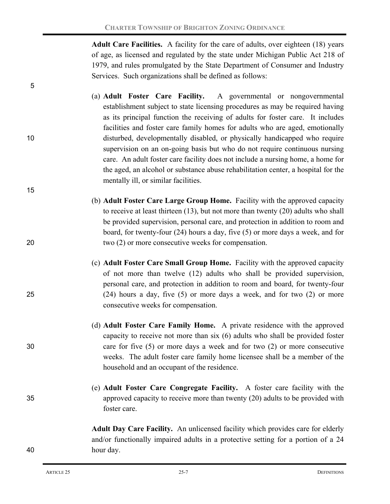**Adult Care Facilities.** A facility for the care of adults, over eighteen (18) years of age, as licensed and regulated by the state under Michigan Public Act 218 of 1979, and rules promulgated by the State Department of Consumer and Industry Services. Such organizations shall be defined as follows:

- (a) **Adult Foster Care Facility.** A governmental or nongovernmental establishment subject to state licensing procedures as may be required having as its principal function the receiving of adults for foster care. It includes facilities and foster care family homes for adults who are aged, emotionally 10 disturbed, developmentally disabled, or physically handicapped who require supervision on an on-going basis but who do not require continuous nursing care. An adult foster care facility does not include a nursing home, a home for the aged, an alcohol or substance abuse rehabilitation center, a hospital for the mentally ill, or similar facilities.
- (b) **Adult Foster Care Large Group Home.** Facility with the approved capacity to receive at least thirteen (13), but not more than twenty (20) adults who shall be provided supervision, personal care, and protection in addition to room and board, for twenty-four (24) hours a day, five (5) or more days a week, and for 20 two (2) or more consecutive weeks for compensation.
- (c) **Adult Foster Care Small Group Home.** Facility with the approved capacity of not more than twelve (12) adults who shall be provided supervision, personal care, and protection in addition to room and board, for twenty-four 25 (24) hours a day, five (5) or more days a week, and for two (2) or more consecutive weeks for compensation.
- (d) **Adult Foster Care Family Home.**A private residence with the approved capacity to receive not more than six (6) adults who shall be provided foster 30 care for five (5) or more days a week and for two (2) or more consecutive weeks. The adult foster care family home licensee shall be a member of the household and an occupant of the residence.
- (e) **Adult Foster Care Congregate Facility.** A foster care facility with the 35 approved capacity to receive more than twenty (20) adults to be provided with foster care.

**Adult Day Care Facility.** An unlicensed facility which provides care for elderly and/or functionally impaired adults in a protective setting for a portion of a 24 40 hour day.

5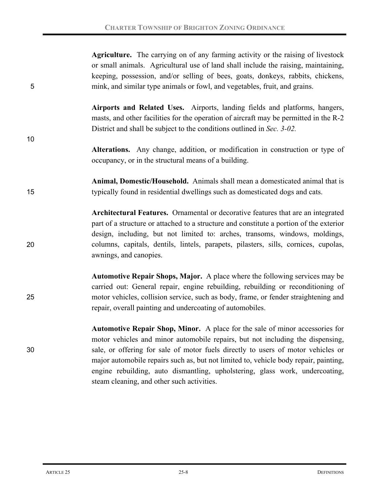| 5  | Agriculture. The carrying on of any farming activity or the raising of livestock<br>or small animals. Agricultural use of land shall include the raising, maintaining,<br>keeping, possession, and/or selling of bees, goats, donkeys, rabbits, chickens,<br>mink, and similar type animals or fowl, and vegetables, fruit, and grains.                                                                                                                                  |  |  |  |
|----|--------------------------------------------------------------------------------------------------------------------------------------------------------------------------------------------------------------------------------------------------------------------------------------------------------------------------------------------------------------------------------------------------------------------------------------------------------------------------|--|--|--|
| 10 | Airports and Related Uses. Airports, landing fields and platforms, hangers,<br>masts, and other facilities for the operation of aircraft may be permitted in the R-2<br>District and shall be subject to the conditions outlined in Sec. 3-02.                                                                                                                                                                                                                           |  |  |  |
|    | Alterations. Any change, addition, or modification in construction or type of<br>occupancy, or in the structural means of a building.                                                                                                                                                                                                                                                                                                                                    |  |  |  |
| 15 | Animal, Domestic/Household. Animals shall mean a domesticated animal that is<br>typically found in residential dwellings such as domesticated dogs and cats.                                                                                                                                                                                                                                                                                                             |  |  |  |
| 20 | Architectural Features. Ornamental or decorative features that are an integrated<br>part of a structure or attached to a structure and constitute a portion of the exterior<br>design, including, but not limited to: arches, transoms, windows, moldings,<br>columns, capitals, dentils, lintels, parapets, pilasters, sills, cornices, cupolas,<br>awnings, and canopies.                                                                                              |  |  |  |
| 25 | Automotive Repair Shops, Major. A place where the following services may be<br>carried out: General repair, engine rebuilding, rebuilding or reconditioning of<br>motor vehicles, collision service, such as body, frame, or fender straightening and<br>repair, overall painting and undercoating of automobiles.                                                                                                                                                       |  |  |  |
| 30 | Automotive Repair Shop, Minor. A place for the sale of minor accessories for<br>motor vehicles and minor automobile repairs, but not including the dispensing,<br>sale, or offering for sale of motor fuels directly to users of motor vehicles or<br>major automobile repairs such as, but not limited to, vehicle body repair, painting,<br>engine rebuilding, auto dismantling, upholstering, glass work, undercoating,<br>steam cleaning, and other such activities. |  |  |  |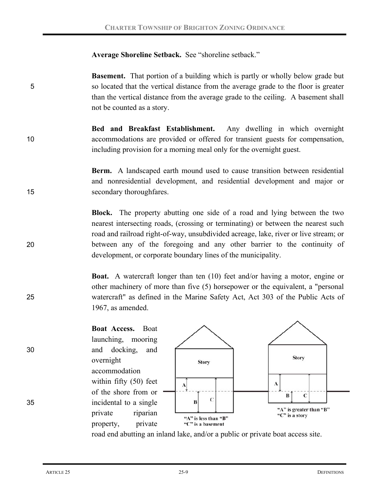### **Average Shoreline Setback.** See "shoreline setback."

**Basement.** That portion of a building which is partly or wholly below grade but 5 so located that the vertical distance from the average grade to the floor is greater than the vertical distance from the average grade to the ceiling. A basement shall not be counted as a story.

**Bed and Breakfast Establishment.** Any dwelling in which overnight 10 accommodations are provided or offered for transient guests for compensation, including provision for a morning meal only for the overnight guest.

**Berm.**A landscaped earth mound used to cause transition between residential and nonresidential development, and residential development and major or 15 secondary thoroughfares.

**Block.** The property abutting one side of a road and lying between the two nearest intersecting roads, (crossing or terminating) or between the nearest such road and railroad right-of-way, unsubdivided acreage, lake, river or live stream; or 20 between any of the foregoing and any other barrier to the continuity of development, or corporate boundary lines of the municipality.

**Boat.** A watercraft longer than ten (10) feet and/or having a motor, engine or other machinery of more than five (5) horsepower or the equivalent, a "personal 25 watercraft" as defined in the Marine Safety Act, Act 303 of the Public Acts of 1967, as amended.

**Boat Access.** Boat launching, mooring 30 and docking, and overnight accommodation within fifty (50) feet of the shore from or 35 incidental to a single private riparian property, private



road end abutting an inland lake, and/or a public or private boat access site.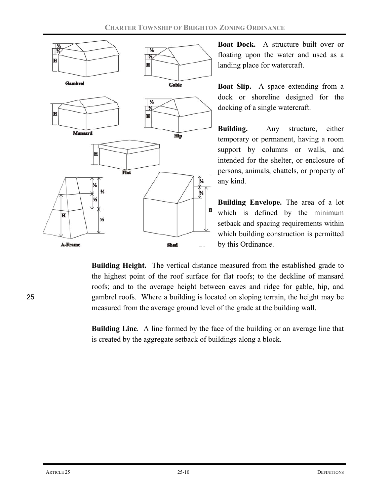

**Boat Dock.** A structure built over or floating upon the water and used as a landing place for watercraft.

**Boat Slip.** A space extending from a dock or shoreline designed for the docking of a single watercraft.

**Building.** Any structure, either temporary or permanent, having a room support by columns or walls, and intended for the shelter, or enclosure of persons, animals, chattels, or property of any kind.

**Building Envelope.** The area of a lot which is defined by the minimum setback and spacing requirements within which building construction is permitted by this Ordinance.

**Building Height.** The vertical distance measured from the established grade to the highest point of the roof surface for flat roofs; to the deckline of mansard roofs; and to the average height between eaves and ridge for gable, hip, and 25 gambrel roofs. Where a building is located on sloping terrain, the height may be measured from the average ground level of the grade at the building wall.

> **Building Line***.* A line formed by the face of the building or an average line that is created by the aggregate setback of buildings along a block.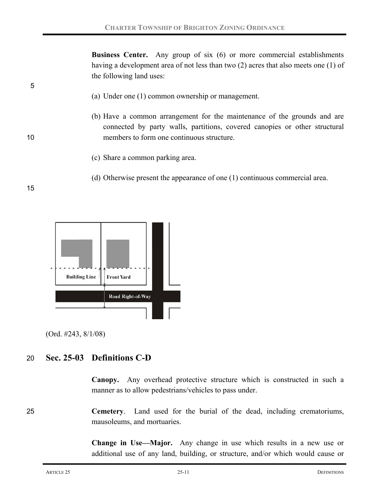**Business Center.** Any group of six (6) or more commercial establishments having a development area of not less than two (2) acres that also meets one (1) of the following land uses:

- (a) Under one (1) common ownership or management.
- (b) Have a common arrangement for the maintenance of the grounds and are connected by party walls, partitions, covered canopies or other structural 10 members to form one continuous structure.
	- (c) Share a common parking area.
	- (d) Otherwise present the appearance of one (1) continuous commercial area.

15

5



(Ord. #243, 8/1/08)

## 20 **Sec. 25-03 Definitions C-D**

**Canopy.**Any overhead protective structure which is constructed in such a manner as to allow pedestrians/vehicles to pass under.

25 **Cemetery**. Land used for the burial of the dead, including crematoriums, mausoleums, and mortuaries.

> **Change in Use—Major.** Any change in use which results in a new use or additional use of any land, building, or structure, and/or which would cause or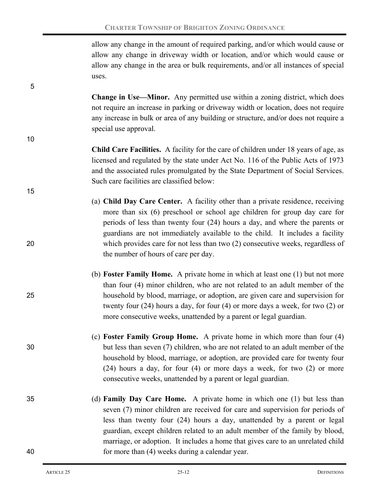allow any change in the amount of required parking, and/or which would cause or allow any change in driveway width or location, and/or which would cause or allow any change in the area or bulk requirements, and/or all instances of special uses.

**Change in Use—Minor.** Any permitted use within a zoning district, which does not require an increase in parking or driveway width or location, does not require any increase in bulk or area of any building or structure, and/or does not require a special use approval.

- **Child Care Facilities.** A facility for the care of children under 18 years of age, as licensed and regulated by the state under Act No. 116 of the Public Acts of 1973 and the associated rules promulgated by the State Department of Social Services. Such care facilities are classified below:
- (a) **Child Day Care Center.** A facility other than a private residence, receiving more than six (6) preschool or school age children for group day care for periods of less than twenty four (24) hours a day, and where the parents or guardians are not immediately available to the child. It includes a facility 20 which provides care for not less than two (2) consecutive weeks, regardless of the number of hours of care per day.
- (b) **Foster Family Home.** A private home in which at least one (1) but not more than four (4) minor children, who are not related to an adult member of the 25 household by blood, marriage, or adoption, are given care and supervision for twenty four (24) hours a day, for four (4) or more days a week, for two (2) or more consecutive weeks, unattended by a parent or legal guardian.
- (c) **Foster Family Group Home.** A private home in which more than four (4) 30 but less than seven (7) children, who are not related to an adult member of the household by blood, marriage, or adoption, are provided care for twenty four (24) hours a day, for four (4) or more days a week, for two (2) or more consecutive weeks, unattended by a parent or legal guardian.
- 35 (d) **Family Day Care Home.** A private home in which one (1) but less than seven (7) minor children are received for care and supervision for periods of less than twenty four (24) hours a day, unattended by a parent or legal guardian, except children related to an adult member of the family by blood, marriage, or adoption. It includes a home that gives care to an unrelated child 40 for more than (4) weeks during a calendar year.

5

10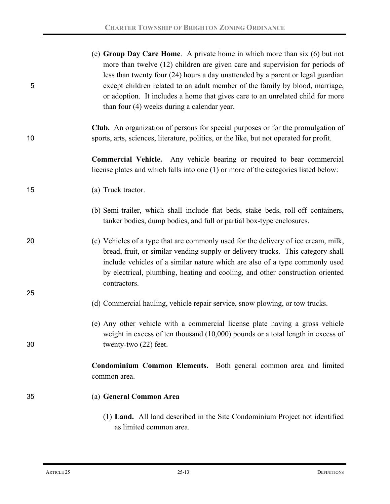| 5  | (e) Group Day Care Home. A private home in which more than $six(6)$ but not<br>more than twelve (12) children are given care and supervision for periods of<br>less than twenty four (24) hours a day unattended by a parent or legal guardian<br>except children related to an adult member of the family by blood, marriage,<br>or adoption. It includes a home that gives care to an unrelated child for more<br>than four (4) weeks during a calendar year. |
|----|-----------------------------------------------------------------------------------------------------------------------------------------------------------------------------------------------------------------------------------------------------------------------------------------------------------------------------------------------------------------------------------------------------------------------------------------------------------------|
| 10 | <b>Club.</b> An organization of persons for special purposes or for the promulgation of<br>sports, arts, sciences, literature, politics, or the like, but not operated for profit.                                                                                                                                                                                                                                                                              |
|    | <b>Commercial Vehicle.</b> Any vehicle bearing or required to bear commercial<br>license plates and which falls into one (1) or more of the categories listed below:                                                                                                                                                                                                                                                                                            |
| 15 | (a) Truck tractor.                                                                                                                                                                                                                                                                                                                                                                                                                                              |
|    | (b) Semi-trailer, which shall include flat beds, stake beds, roll-off containers,<br>tanker bodies, dump bodies, and full or partial box-type enclosures.                                                                                                                                                                                                                                                                                                       |
| 20 | (c) Vehicles of a type that are commonly used for the delivery of ice cream, milk,<br>bread, fruit, or similar vending supply or delivery trucks. This category shall<br>include vehicles of a similar nature which are also of a type commonly used<br>by electrical, plumbing, heating and cooling, and other construction oriented<br>contractors.                                                                                                           |
| 25 | (d) Commercial hauling, vehicle repair service, snow plowing, or tow trucks.                                                                                                                                                                                                                                                                                                                                                                                    |
| 30 | (e) Any other vehicle with a commercial license plate having a gross vehicle<br>weight in excess of ten thousand $(10,000)$ pounds or a total length in excess of<br>twenty-two (22) feet.                                                                                                                                                                                                                                                                      |
|    | Condominium Common Elements. Both general common area and limited<br>common area.                                                                                                                                                                                                                                                                                                                                                                               |
| 35 | (a) General Common Area                                                                                                                                                                                                                                                                                                                                                                                                                                         |
|    | (1) Land. All land described in the Site Condominium Project not identified                                                                                                                                                                                                                                                                                                                                                                                     |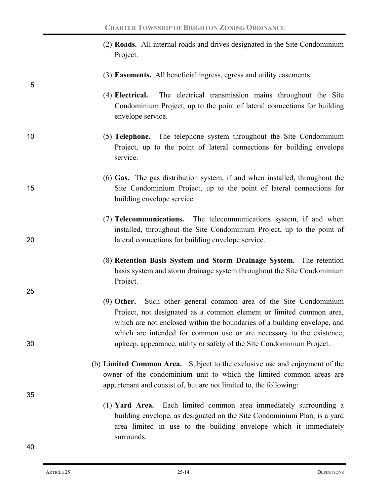- (2) **Roads.** All internal roads and drives designated in the Site Condominium Project.
- (3) **Easements.** All beneficial ingress, egress and utility easements.
- (4) **Electrical.** The electrical transmission mains throughout the Site Condominium Project, up to the point of lateral connections for building envelope service.
- 10 (5) **Telephone.** The telephone system throughout the Site Condominium Project, up to the point of lateral connections for building envelope service.
- (6) **Gas.** The gas distribution system, if and when installed, throughout the 15 Site Condominium Project, up to the point of lateral connections for building envelope service.
- (7) **Telecommunications.** The telecommunications system, if and when installed, throughout the Site Condominium Project, up to the point of 20 lateral connections for building envelope service.
	- (8) **Retention Basis System and Storm Drainage System.** The retention basis system and storm drainage system throughout the Site Condominium Project.
- (9) **Other.** Such other general common area of the Site Condominium Project, not designated as a common element or limited common area, which are not enclosed within the boundaries of a building envelope, and which are intended for common use or are necessary to the existence, 30 upkeep, appearance, utility or safety of the Site Condominium Project.
	- (b) **Limited Common Area.**Subject to the exclusive use and enjoyment of the owner of the condominium unit to which the limited common areas are appurtenant and consist of, but are not limited to, the following:
		- (1) **Yard Area.** Each limited common area immediately surrounding a building envelope, as designated on the Site Condominium Plan, is a yard area limited in use to the building envelope which it immediately surrounds.

5

25

35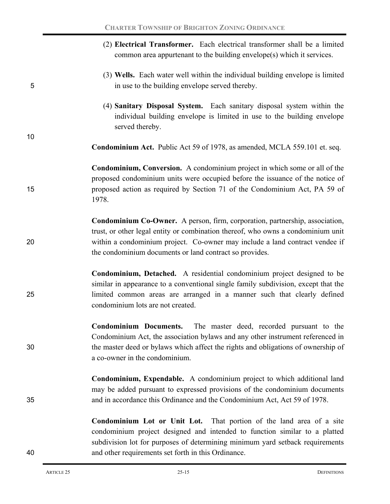(2) **Electrical Transformer.** Each electrical transformer shall be a limited common area appurtenant to the building envelope(s) which it services. (3) **Wells.** Each water well within the individual building envelope is limited 5 in use to the building envelope served thereby. (4) **Sanitary Disposal System.** Each sanitary disposal system within the individual building envelope is limited in use to the building envelope served thereby. 10 **Condominium Act.** Public Act 59 of 1978, as amended, MCLA 559.101 et. seq. **Condominium, Conversion.** A condominium project in which some or all of the proposed condominium units were occupied before the issuance of the notice of 15 proposed action as required by Section 71 of the Condominium Act, PA 59 of 1978. **Condominium Co-Owner.** A person, firm, corporation, partnership, association, trust, or other legal entity or combination thereof, who owns a condominium unit 20 within a condominium project. Co-owner may include a land contract vendee if the condominium documents or land contract so provides. **Condominium, Detached.** A residential condominium project designed to be similar in appearance to a conventional single family subdivision, except that the 25 limited common areas are arranged in a manner such that clearly defined condominium lots are not created. **Condominium Documents.** The master deed, recorded pursuant to the Condominium Act, the association bylaws and any other instrument referenced in 30 the master deed or bylaws which affect the rights and obligations of ownership of a co-owner in the condominium. **Condominium, Expendable.** A condominium project to which additional land may be added pursuant to expressed provisions of the condominium documents 35 and in accordance this Ordinance and the Condominium Act, Act 59 of 1978. **Condominium Lot or Unit Lot.** That portion of the land area of a site condominium project designed and intended to function similar to a platted subdivision lot for purposes of determining minimum yard setback requirements 40 and other requirements set forth in this Ordinance.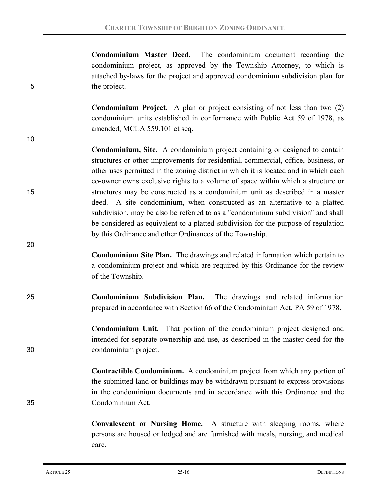**Condominium Master Deed.** The condominium document recording the condominium project, as approved by the Township Attorney, to which is attached by-laws for the project and approved condominium subdivision plan for 5 the project.

> **Condominium Project.** A plan or project consisting of not less than two (2) condominium units established in conformance with Public Act 59 of 1978, as amended, MCLA 559.101 et seq.

**Condominium, Site.** A condominium project containing or designed to contain structures or other improvements for residential, commercial, office, business, or other uses permitted in the zoning district in which it is located and in which each co-owner owns exclusive rights to a volume of space within which a structure or 15 structures may be constructed as a condominium unit as described in a master deed. A site condominium, when constructed as an alternative to a platted subdivision, may be also be referred to as a "condominium subdivision" and shall be considered as equivalent to a platted subdivision for the purpose of regulation by this Ordinance and other Ordinances of the Township.

**Condominium Site Plan.** The drawings and related information which pertain to a condominium project and which are required by this Ordinance for the review of the Township.

25 **Condominium Subdivision Plan.** The drawings and related information prepared in accordance with Section 66 of the Condominium Act, PA 59 of 1978.

**Condominium Unit.** That portion of the condominium project designed and intended for separate ownership and use, as described in the master deed for the 30 condominium project.

**Contractible Condominium.** A condominium project from which any portion of the submitted land or buildings may be withdrawn pursuant to express provisions in the condominium documents and in accordance with this Ordinance and the 35 Condominium Act.

> **Convalescent or Nursing Home.** A structure with sleeping rooms, where persons are housed or lodged and are furnished with meals, nursing, and medical care.

10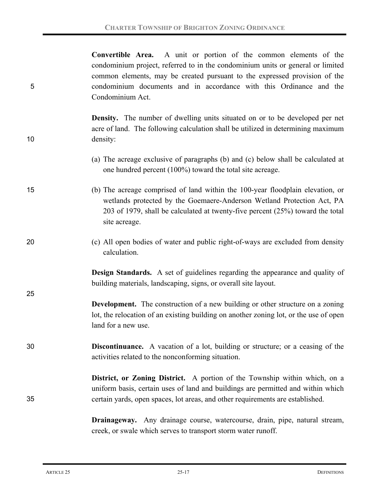**Convertible Area.** A unit or portion of the common elements of the condominium project, referred to in the condominium units or general or limited common elements, may be created pursuant to the expressed provision of the 5 condominium documents and in accordance with this Ordinance and the Condominium Act.

**Density.** The number of dwelling units situated on or to be developed per net acre of land. The following calculation shall be utilized in determining maximum 10 density:

- (a) The acreage exclusive of paragraphs (b) and (c) below shall be calculated at one hundred percent (100%) toward the total site acreage.
- 15 (b) The acreage comprised of land within the 100-year floodplain elevation, or wetlands protected by the Goemaere-Anderson Wetland Protection Act, PA 203 of 1979, shall be calculated at twenty-five percent (25%) toward the total site acreage.
- 20 (c) All open bodies of water and public right-of-ways are excluded from density calculation.

**Design Standards.** A set of guidelines regarding the appearance and quality of building materials, landscaping, signs, or overall site layout.

- **Development.** The construction of a new building or other structure on a zoning lot, the relocation of an existing building on another zoning lot, or the use of open land for a new use.
- 30 **Discontinuance.** A vacation of a lot, building or structure; or a ceasing of the activities related to the nonconforming situation.

## **District, or Zoning District.** A portion of the Township within which, on a uniform basis, certain uses of land and buildings are permitted and within which 35 certain yards, open spaces, lot areas, and other requirements are established.

**Drainageway.** Any drainage course, watercourse, drain, pipe, natural stream, creek, or swale which serves to transport storm water runoff.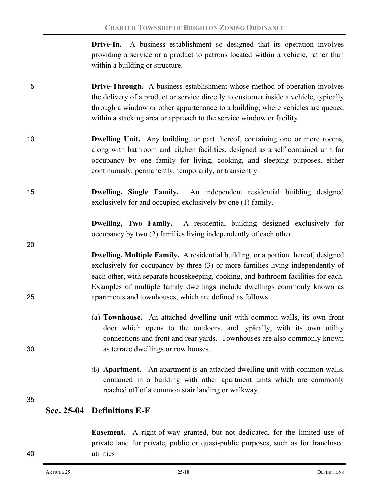| <b>Drive-In.</b> A business establishment so designed that its operation involves |
|-----------------------------------------------------------------------------------|
| providing a service or a product to patrons located within a vehicle, rather than |
| within a building or structure.                                                   |

- 5 **Drive-Through.** A business establishment whose method of operation involves the delivery of a product or service directly to customer inside a vehicle, typically through a window or other appurtenance to a building, where vehicles are queued within a stacking area or approach to the service window or facility.
- 10 **Dwelling Unit.** Any building, or part thereof, containing one or more rooms, along with bathroom and kitchen facilities, designed as a self contained unit for occupancy by one family for living, cooking, and sleeping purposes, either continuously, permanently, temporarily, or transiently.
- 15 **Dwelling, Single Family.** An independent residential building designed exclusively for and occupied exclusively by one (1) family.

**Dwelling, Two Family.** A residential building designed exclusively for occupancy by two (2) families living independently of each other.

- **Dwelling, Multiple Family.** A residential building, or a portion thereof, designed exclusively for occupancy by three (3) or more families living independently of each other, with separate housekeeping, cooking, and bathroom facilities for each. Examples of multiple family dwellings include dwellings commonly known as 25 apartments and townhouses, which are defined as follows:
- (a) **Townhouse.** An attached dwelling unit with common walls, its own front door which opens to the outdoors, and typically, with its own utility connections and front and rear yards. Townhouses are also commonly known 30 as terrace dwellings or row houses.
	- (b) **Apartment.** An apartment is an attached dwelling unit with common walls, contained in a building with other apartment units which are commonly reached off of a common stair landing or walkway.

35

20

## **Sec. 25-04 Definitions E-F**

**Easement.** A right-of-way granted, but not dedicated, for the limited use of private land for private, public or quasi-public purposes, such as for franchised 40 utilities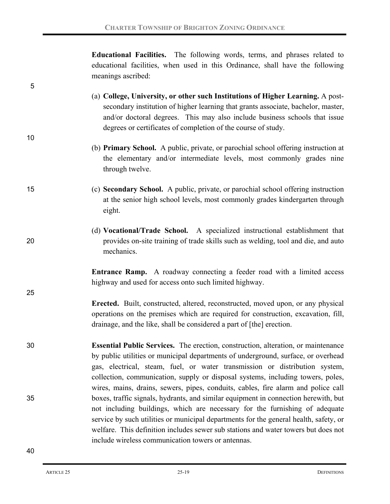**Educational Facilities.** The following words, terms, and phrases related to educational facilities, when used in this Ordinance, shall have the following meanings ascribed:

- (a) **College, University, or other such Institutions of Higher Learning.** A postsecondary institution of higher learning that grants associate, bachelor, master, and/or doctoral degrees. This may also include business schools that issue degrees or certificates of completion of the course of study.
	- (b) **Primary School.** A public, private, or parochial school offering instruction at the elementary and/or intermediate levels, most commonly grades nine through twelve.
- 15 (c) **Secondary School.** A public, private, or parochial school offering instruction at the senior high school levels, most commonly grades kindergarten through eight.
- (d) **Vocational/Trade School.** A specialized instructional establishment that 20 provides on-site training of trade skills such as welding, tool and die, and auto mechanics.

**Entrance Ramp.** A roadway connecting a feeder road with a limited access highway and used for access onto such limited highway.

- **Erected.** Built, constructed, altered, reconstructed, moved upon, or any physical operations on the premises which are required for construction, excavation, fill, drainage, and the like, shall be considered a part of [the] erection.
- 30 **Essential Public Services.** The erection, construction, alteration, or maintenance by public utilities or municipal departments of underground, surface, or overhead gas, electrical, steam, fuel, or water transmission or distribution system, collection, communication, supply or disposal systems, including towers, poles, wires, mains, drains, sewers, pipes, conduits, cables, fire alarm and police call 35 boxes, traffic signals, hydrants, and similar equipment in connection herewith, but not including buildings, which are necessary for the furnishing of adequate service by such utilities or municipal departments for the general health, safety, or welfare. This definition includes sewer sub stations and water towers but does not include wireless communication towers or antennas.

5

10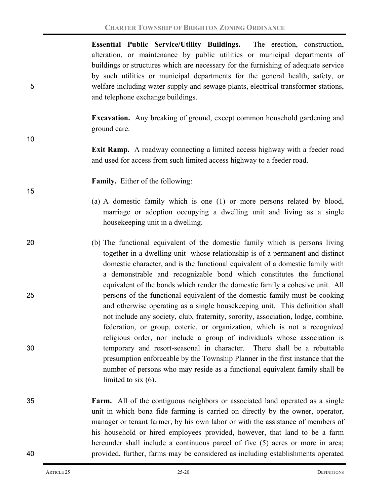**Essential Public Service/Utility Buildings.** The erection, construction, alteration, or maintenance by public utilities or municipal departments of buildings or structures which are necessary for the furnishing of adequate service by such utilities or municipal departments for the general health, safety, or 5 welfare including water supply and sewage plants, electrical transformer stations, and telephone exchange buildings.

> **Excavation.** Any breaking of ground, except common household gardening and ground care.

- **Exit Ramp.** A roadway connecting a limited access highway with a feeder road and used for access from such limited access highway to a feeder road.
	- **Family.** Either of the following:
	- (a) A domestic family which is one (1) or more persons related by blood, marriage or adoption occupying a dwelling unit and living as a single housekeeping unit in a dwelling.
- 20 (b) The functional equivalent of the domestic family which is persons living together in a dwelling unit whose relationship is of a permanent and distinct domestic character, and is the functional equivalent of a domestic family with a demonstrable and recognizable bond which constitutes the functional equivalent of the bonds which render the domestic family a cohesive unit. All 25 persons of the functional equivalent of the domestic family must be cooking and otherwise operating as a single housekeeping unit. This definition shall not include any society, club, fraternity, sorority, association, lodge, combine, federation, or group, coterie, or organization, which is not a recognized religious order, nor include a group of individuals whose association is 30 temporary and resort-seasonal in character. There shall be a rebuttable presumption enforceable by the Township Planner in the first instance that the number of persons who may reside as a functional equivalent family shall be limited to six (6).
- 35 **Farm.** All of the contiguous neighbors or associated land operated as a single unit in which bona fide farming is carried on directly by the owner, operator, manager or tenant farmer, by his own labor or with the assistance of members of his household or hired employees provided, however, that land to be a farm hereunder shall include a continuous parcel of five (5) acres or more in area; 40 provided, further, farms may be considered as including establishments operated

10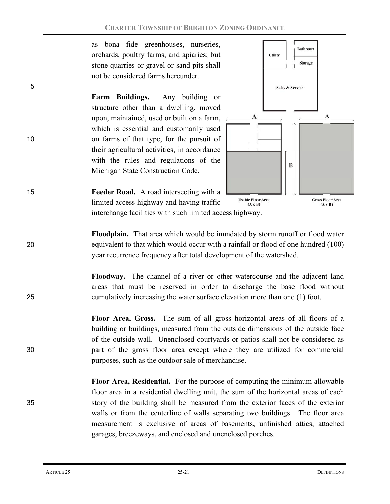as bona fide greenhouses, nurseries, orchards, poultry farms, and apiaries; but stone quarries or gravel or sand pits shall not be considered farms hereunder.

**Farm Buildings.** Any building or structure other than a dwelling, moved upon, maintained, used or built on a farm, which is essential and customarily used 10 on farms of that type, for the pursuit of their agricultural activities, in accordance with the rules and regulations of the Michigan State Construction Code.



15 **Feeder Road.** A road intersecting with a limited access highway and having traffic interchange facilities with such limited access highway.

**Floodplain.** That area which would be inundated by storm runoff or flood water 20 equivalent to that which would occur with a rainfall or flood of one hundred (100) year recurrence frequency after total development of the watershed.

**Floodway.** The channel of a river or other watercourse and the adjacent land areas that must be reserved in order to discharge the base flood without 25 cumulatively increasing the water surface elevation more than one (1) foot.

**Floor Area, Gross.** The sum of all gross horizontal areas of all floors of a building or buildings, measured from the outside dimensions of the outside face of the outside wall. Unenclosed courtyards or patios shall not be considered as 30 part of the gross floor area except where they are utilized for commercial purposes, such as the outdoor sale of merchandise.

**Floor Area, Residential.** For the purpose of computing the minimum allowable floor area in a residential dwelling unit, the sum of the horizontal areas of each 35 story of the building shall be measured from the exterior faces of the exterior walls or from the centerline of walls separating two buildings. The floor area measurement is exclusive of areas of basements, unfinished attics, attached garages, breezeways, and enclosed and unenclosed porches.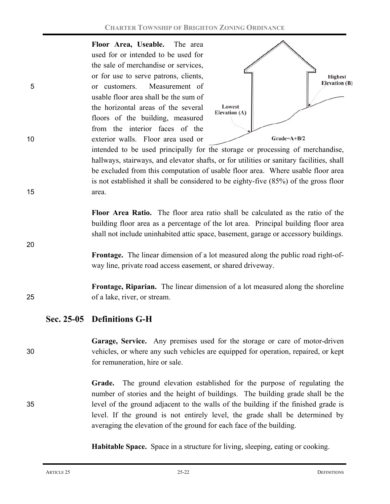**Floor Area, Useable.** The area used for or intended to be used for the sale of merchandise or services, or for use to serve patrons, clients, 5 or customers. Measurement of usable floor area shall be the sum of the horizontal areas of the several floors of the building, measured from the interior faces of the 10 exterior walls. Floor area used or



intended to be used principally for the storage or processing of merchandise, hallways, stairways, and elevator shafts, or for utilities or sanitary facilities, shall be excluded from this computation of usable floor area. Where usable floor area is not established it shall be considered to be eighty-five (85%) of the gross floor 15 area.

> **Floor Area Ratio.** The floor area ratio shall be calculated as the ratio of the building floor area as a percentage of the lot area. Principal building floor area shall not include uninhabited attic space, basement, garage or accessory buildings.

> **Frontage.** The linear dimension of a lot measured along the public road right-ofway line, private road access easement, or shared driveway.

**Frontage, Riparian.** The linear dimension of a lot measured along the shoreline 25 of a lake, river, or stream.

# **Sec. 25-05 Definitions G-H**

**Garage, Service.** Any premises used for the storage or care of motor-driven 30 vehicles, or where any such vehicles are equipped for operation, repaired, or kept for remuneration, hire or sale.

**Grade.** The ground elevation established for the purpose of regulating the number of stories and the height of buildings. The building grade shall be the 35 level of the ground adjacent to the walls of the building if the finished grade is level. If the ground is not entirely level, the grade shall be determined by averaging the elevation of the ground for each face of the building.

**Habitable Space.** Space in a structure for living, sleeping, eating or cooking.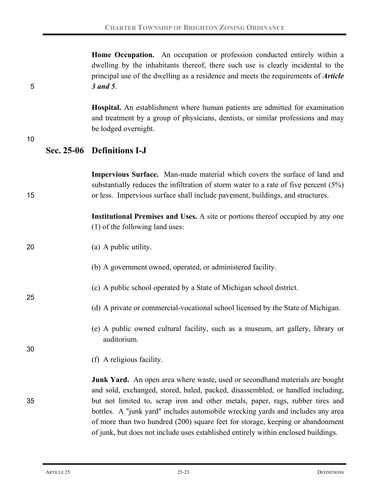**Home Occupation.** An occupation or profession conducted entirely within a dwelling by the inhabitants thereof, there such use is clearly incidental to the principal use of the dwelling as a residence and meets the requirements of *Article*  5 *3 and 5*.

> **Hospital.** An establishment where human patients are admitted for examination and treatment by a group of physicians, dentists, or similar professions and may be lodged overnight.

#### 10

## **Sec. 25-06 Definitions I-J**

**Impervious Surface.** Man-made material which covers the surface of land and substantially reduces the infiltration of storm water to a rate of five percent (5%) 15 or less. Impervious surface shall include pavement, buildings, and structures. **Institutional Premises and Uses.** A site or portions thereof occupied by any one (1) of the following land uses: 20 (a) A public utility. (b) A government owned, operated, or administered facility. (c) A public school operated by a State of Michigan school district. 25 (d) A private or commercial-vocational school licensed by the State of Michigan. (e) A public owned cultural facility, such as a museum, art gallery, library or auditorium. 30 (f) A religious facility. **Junk Yard.** An open area where waste, used or secondhand materials are bought and sold, exchanged, stored, baled, packed, disassembled, or handled including, 35 but not limited to, scrap iron and other metals, paper, rags, rubber tires and bottles. A "junk yard" includes automobile wrecking yards and includes any area of more than two hundred (200) square feet for storage, keeping or abandonment of junk, but does not include uses established entirely within enclosed buildings.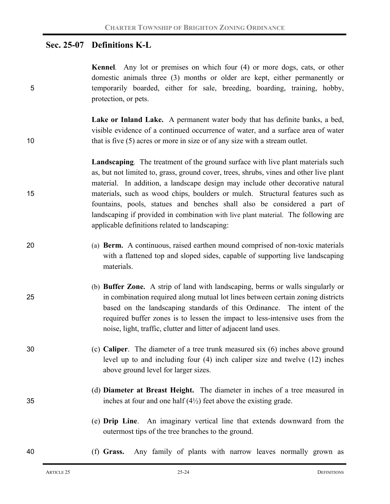## **Sec. 25-07 Definitions K-L**

**Kennel***.* Any lot or premises on which four (4) or more dogs, cats, or other domestic animals three (3) months or older are kept, either permanently or 5 temporarily boarded, either for sale, breeding, boarding, training, hobby, protection, or pets.

**Lake or Inland Lake.** A permanent water body that has definite banks, a bed, visible evidence of a continued occurrence of water, and a surface area of water 10 that is five (5) acres or more in size or of any size with a stream outlet.

**Landscaping**. The treatment of the ground surface with live plant materials such as, but not limited to, grass, ground cover, trees, shrubs, vines and other live plant material. In addition, a landscape design may include other decorative natural 15 materials, such as wood chips, boulders or mulch. Structural features such as fountains, pools, statues and benches shall also be considered a part of landscaping if provided in combination with live plant material. The following are applicable definitions related to landscaping:

- 20 (a) **Berm.** A continuous, raised earthen mound comprised of non-toxic materials with a flattened top and sloped sides, capable of supporting live landscaping materials.
- (b) **Buffer Zone.** A strip of land with landscaping, berms or walls singularly or 25 in combination required along mutual lot lines between certain zoning districts based on the landscaping standards of this Ordinance. The intent of the required buffer zones is to lessen the impact to less-intensive uses from the noise, light, traffic, clutter and litter of adjacent land uses.
- 30 (c) **Caliper**. The diameter of a tree trunk measured six (6) inches above ground level up to and including four (4) inch caliper size and twelve (12) inches above ground level for larger sizes.
- (d) **Diameter at Breast Height.** The diameter in inches of a tree measured in 35 inches at four and one half (4½) feet above the existing grade.
	- (e) **Drip Line**. An imaginary vertical line that extends downward from the outermost tips of the tree branches to the ground.

40 (f) **Grass.** Any family of plants with narrow leaves normally grown as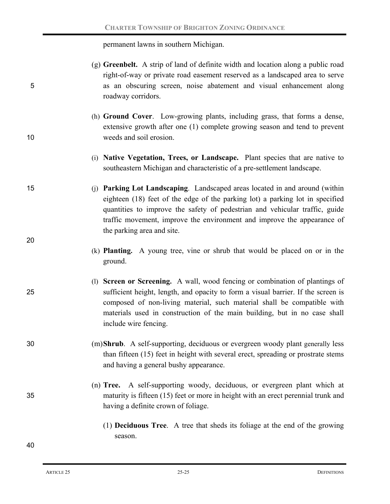permanent lawns in southern Michigan.

| 5  | (g) Greenbelt. A strip of land of definite width and location along a public road<br>right-of-way or private road easement reserved as a landscaped area to serve<br>as an obscuring screen, noise abatement and visual enhancement along<br>roadway corridors.                                                                                      |
|----|------------------------------------------------------------------------------------------------------------------------------------------------------------------------------------------------------------------------------------------------------------------------------------------------------------------------------------------------------|
| 10 | (h) Ground Cover. Low-growing plants, including grass, that forms a dense,<br>extensive growth after one (1) complete growing season and tend to prevent<br>weeds and soil erosion.                                                                                                                                                                  |
|    | (i) Native Vegetation, Trees, or Landscape. Plant species that are native to<br>southeastern Michigan and characteristic of a pre-settlement landscape.                                                                                                                                                                                              |
| 15 | (j) Parking Lot Landscaping. Landscaped areas located in and around (within<br>eighteen (18) feet of the edge of the parking lot) a parking lot in specified<br>quantities to improve the safety of pedestrian and vehicular traffic, guide<br>traffic movement, improve the environment and improve the appearance of<br>the parking area and site. |
| 20 | (k) <b>Planting.</b> A young tree, vine or shrub that would be placed on or in the<br>ground.                                                                                                                                                                                                                                                        |
| 25 | (1) Screen or Screening. A wall, wood fencing or combination of plantings of<br>sufficient height, length, and opacity to form a visual barrier. If the screen is<br>composed of non-living material, such material shall be compatible with<br>materials used in construction of the main building, but in no case shall<br>include wire fencing.   |
| 30 | (m) Shrub. A self-supporting, deciduous or evergreen woody plant generally less<br>than fifteen (15) feet in height with several erect, spreading or prostrate stems<br>and having a general bushy appearance.                                                                                                                                       |
| 35 | (n) Tree. A self-supporting woody, deciduous, or evergreen plant which at<br>maturity is fifteen (15) feet or more in height with an erect perennial trunk and<br>having a definite crown of foliage.                                                                                                                                                |
| 40 | (1) <b>Deciduous Tree</b> . A tree that sheds its foliage at the end of the growing<br>season.                                                                                                                                                                                                                                                       |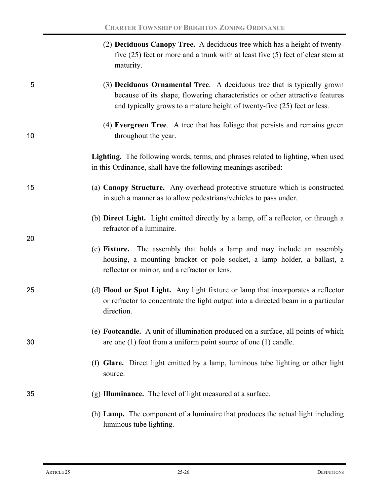|           | (2) <b>Deciduous Canopy Tree.</b> A deciduous tree which has a height of twenty-    |
|-----------|-------------------------------------------------------------------------------------|
|           | five $(25)$ feet or more and a trunk with at least five $(5)$ feet of clear stem at |
| maturity. |                                                                                     |

## 5 (3) **Deciduous Ornamental Tree**. A deciduous tree that is typically grown because of its shape, flowering characteristics or other attractive features and typically grows to a mature height of twenty-five (25) feet or less.

(4) **Evergreen Tree**. A tree that has foliage that persists and remains green 10 throughout the year.

> **Lighting.** The following words, terms, and phrases related to lighting, when used in this Ordinance, shall have the following meanings ascribed:

- 15 (a) **Canopy Structure.** Any overhead protective structure which is constructed in such a manner as to allow pedestrians/vehicles to pass under.
	- (b) **Direct Light.** Light emitted directly by a lamp, off a reflector, or through a refractor of a luminaire.
	- (c) **Fixture.** The assembly that holds a lamp and may include an assembly housing, a mounting bracket or pole socket, a lamp holder, a ballast, a reflector or mirror, and a refractor or lens.
- 25 (d) **Flood or Spot Light.** Any light fixture or lamp that incorporates a reflector or refractor to concentrate the light output into a directed beam in a particular direction.
- (e) **Footcandle.** A unit of illumination produced on a surface, all points of which 30 are one (1) foot from a uniform point source of one (1) candle.
	- (f) **Glare.** Direct light emitted by a lamp, luminous tube lighting or other light source.

## 35 (g) **Illuminance.** The level of light measured at a surface.

(h) **Lamp.**The component of a luminaire that produces the actual light including luminous tube lighting.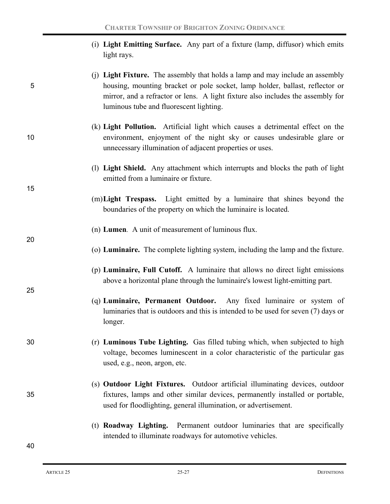|             | (i) Light Emitting Surface. Any part of a fixture (lamp, diffusor) which emits |  |
|-------------|--------------------------------------------------------------------------------|--|
| light rays. |                                                                                |  |

- (j) **Light Fixture.** The assembly that holds a lamp and may include an assembly 5 housing, mounting bracket or pole socket, lamp holder, ballast, reflector or mirror, and a refractor or lens. A light fixture also includes the assembly for luminous tube and fluorescent lighting.
- (k) **Light Pollution.** Artificial light which causes a detrimental effect on the 10 environment, enjoyment of the night sky or causes undesirable glare or unnecessary illumination of adjacent properties or uses.
	- (l) **Light Shield.** Any attachment which interrupts and blocks the path of light emitted from a luminaire or fixture.
	- (m)**Light Trespass.** Light emitted by a luminaire that shines beyond the boundaries of the property on which the luminaire is located.
	- (n) **Lumen***.* A unit of measurement of luminous flux.
	- (o) **Luminaire.** The complete lighting system, including the lamp and the fixture.
	- (p) **Luminaire, Full Cutoff.** A luminaire that allows no direct light emissions above a horizontal plane through the luminaire's lowest light-emitting part.
	- (q) **Luminaire, Permanent Outdoor.** Any fixed luminaire or system of luminaries that is outdoors and this is intended to be used for seven (7) days or longer.
- 30 (r) **Luminous Tube Lighting.** Gas filled tubing which, when subjected to high voltage, becomes luminescent in a color characteristic of the particular gas used, e.g., neon, argon, etc.
- (s) **Outdoor Light Fixtures.** Outdoor artificial illuminating devices, outdoor 35 fixtures, lamps and other similar devices, permanently installed or portable, used for floodlighting, general illumination, or advertisement.
	- (t) **Roadway Lighting.**Permanent outdoor luminaries that are specifically intended to illuminate roadways for automotive vehicles.

15

20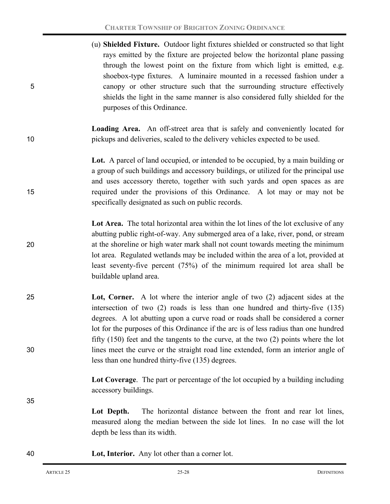(u) **Shielded Fixture.** Outdoor light fixtures shielded or constructed so that light rays emitted by the fixture are projected below the horizontal plane passing through the lowest point on the fixture from which light is emitted, e.g. shoebox-type fixtures. A luminaire mounted in a recessed fashion under a 5 canopy or other structure such that the surrounding structure effectively shields the light in the same manner is also considered fully shielded for the purposes of this Ordinance. **Loading Area.** An off-street area that is safely and conveniently located for 10 pickups and deliveries, scaled to the delivery vehicles expected to be used. **Lot.** A parcel of land occupied, or intended to be occupied, by a main building or a group of such buildings and accessory buildings, or utilized for the principal use and uses accessory thereto, together with such yards and open spaces as are 15 required under the provisions of this Ordinance. A lot may or may not be specifically designated as such on public records. Lot Area. The total horizontal area within the lot lines of the lot exclusive of any abutting public right-of-way. Any submerged area of a lake, river, pond, or stream 20 at the shoreline or high water mark shall not count towards meeting the minimum lot area. Regulated wetlands may be included within the area of a lot, provided at least seventy-five percent (75%) of the minimum required lot area shall be buildable upland area. 25 **Lot, Corner.** A lot where the interior angle of two (2) adjacent sides at the intersection of two (2) roads is less than one hundred and thirty-five (135) degrees. A lot abutting upon a curve road or roads shall be considered a corner lot for the purposes of this Ordinance if the arc is of less radius than one hundred fifty (150) feet and the tangents to the curve, at the two (2) points where the lot 30 lines meet the curve or the straight road line extended, form an interior angle of less than one hundred thirty-five (135) degrees. **Lot Coverage**. The part or percentage of the lot occupied by a building including accessory buildings. 35 Lot Depth. The horizontal distance between the front and rear lot lines, measured along the median between the side lot lines. In no case will the lot depth be less than its width. 40 **Lot, Interior.** Any lot other than a corner lot.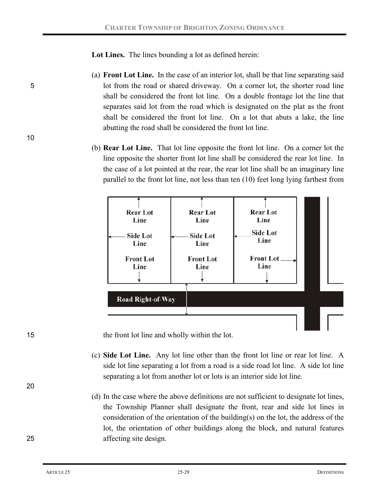**Lot Lines.** The lines bounding a lot as defined herein:

- (a) **Front Lot Line.** In the case of an interior lot, shall be that line separating said 5 lot from the road or shared driveway. On a corner lot, the shorter road line shall be considered the front lot line. On a double frontage lot the line that separates said lot from the road which is designated on the plat as the front shall be considered the front lot line. On a lot that abuts a lake, the line abutting the road shall be considered the front lot line.
	- (b) **Rear Lot Line.** That lot line opposite the front lot line. On a corner lot the line opposite the shorter front lot line shall be considered the rear lot line. In the case of a lot pointed at the rear, the rear lot line shall be an imaginary line parallel to the front lot line, not less than ten (10) feet long lying farthest from



15 the front lot line and wholly within the lot.

- (c) **Side Lot Line.** Any lot line other than the front lot line or rear lot line. A side lot line separating a lot from a road is a side road lot line. A side lot line separating a lot from another lot or lots is an interior side lot line.
- (d) In the case where the above definitions are not sufficient to designate lot lines, the Township Planner shall designate the front, rear and side lot lines in consideration of the orientation of the building(s) on the lot, the address of the lot, the orientation of other buildings along the block, and natural features 25 affecting site design.

20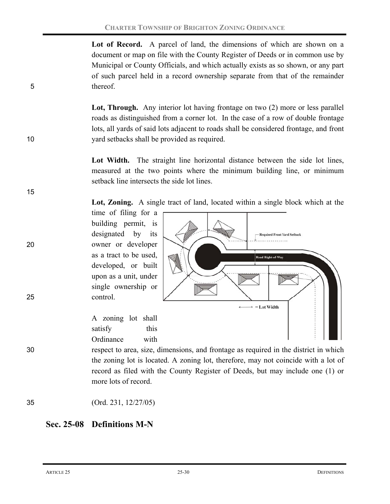Lot of Record. A parcel of land, the dimensions of which are shown on a document or map on file with the County Register of Deeds or in common use by Municipal or County Officials, and which actually exists as so shown, or any part of such parcel held in a record ownership separate from that of the remainder 5 thereof.

Lot, Through. Any interior lot having frontage on two (2) more or less parallel roads as distinguished from a corner lot. In the case of a row of double frontage lots, all yards of said lots adjacent to roads shall be considered frontage, and front 10 yard setbacks shall be provided as required.

> Lot Width. The straight line horizontal distance between the side lot lines, measured at the two points where the minimum building line, or minimum setback line intersects the side lot lines.

> **Lot, Zoning.** A single tract of land, located within a single block which at the

time of filing for a building permit, is designated by its 20 owner or developer as a tract to be used, developed, or built upon as a unit, under single ownership or 25 control.

> A zoning lot shall satisfy this Ordinance with

**Required Front Yard Setback** d Right-of-Wa  $\rightarrow$  = Lot Width

30 respect to area, size, dimensions, and frontage as required in the district in which the zoning lot is located. A zoning lot, therefore, may not coincide with a lot of record as filed with the County Register of Deeds, but may include one (1) or more lots of record.

35 (Ord. 231, 12/27/05)

# **Sec. 25-08 Definitions M-N**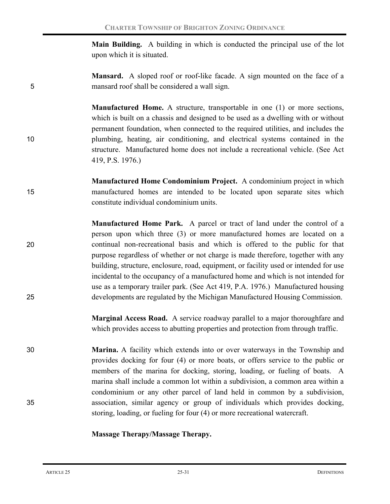**Main Building.**A building in which is conducted the principal use of the lot upon which it is situated.

**Mansard.** A sloped roof or roof-like facade. A sign mounted on the face of a 5 mansard roof shall be considered a wall sign.

**Manufactured Home.** A structure, transportable in one (1) or more sections, which is built on a chassis and designed to be used as a dwelling with or without permanent foundation, when connected to the required utilities, and includes the 10 plumbing, heating, air conditioning, and electrical systems contained in the structure. Manufactured home does not include a recreational vehicle. (See Act 419, P.S. 1976.)

- **Manufactured Home Condominium Project.** A condominium project in which 15 manufactured homes are intended to be located upon separate sites which constitute individual condominium units.
- **Manufactured Home Park.**A parcel or tract of land under the control of a person upon which three (3) or more manufactured homes are located on a 20 continual non-recreational basis and which is offered to the public for that purpose regardless of whether or not charge is made therefore, together with any building, structure, enclosure, road, equipment, or facility used or intended for use incidental to the occupancy of a manufactured home and which is not intended for use as a temporary trailer park. (See Act 419, P.A. 1976.) Manufactured housing 25 developments are regulated by the Michigan Manufactured Housing Commission.

**Marginal Access Road.** A service roadway parallel to a major thoroughfare and which provides access to abutting properties and protection from through traffic.

30 **Marina.** A facility which extends into or over waterways in the Township and provides docking for four (4) or more boats, or offers service to the public or members of the marina for docking, storing, loading, or fueling of boats. A marina shall include a common lot within a subdivision, a common area within a condominium or any other parcel of land held in common by a subdivision, 35 association, similar agency or group of individuals which provides docking, storing, loading, or fueling for four (4) or more recreational watercraft.

#### **Massage Therapy/Massage Therapy.**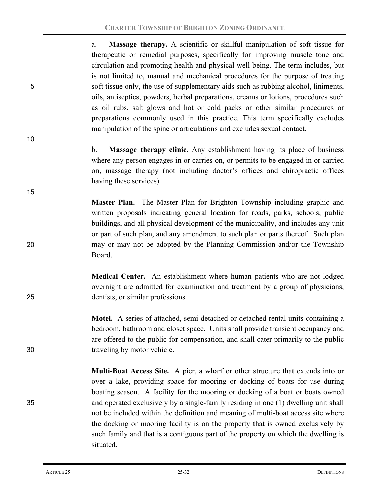a. **Massage therapy.** A scientific or skillful manipulation of soft tissue for therapeutic or remedial purposes, specifically for improving muscle tone and circulation and promoting health and physical well-being. The term includes, but is not limited to, manual and mechanical procedures for the purpose of treating 5 soft tissue only, the use of supplementary aids such as rubbing alcohol, liniments, oils, antiseptics, powders, herbal preparations, creams or lotions, procedures such as oil rubs, salt glows and hot or cold packs or other similar procedures or preparations commonly used in this practice. This term specifically excludes manipulation of the spine or articulations and excludes sexual contact.

> b. **Massage therapy clinic.** Any establishment having its place of business where any person engages in or carries on, or permits to be engaged in or carried on, massage therapy (not including doctor's offices and chiropractic offices having these services).

**Master Plan.** The Master Plan for Brighton Township including graphic and written proposals indicating general location for roads, parks, schools, public buildings, and all physical development of the municipality, and includes any unit or part of such plan, and any amendment to such plan or parts thereof. Such plan 20 may or may not be adopted by the Planning Commission and/or the Township Board.

**Medical Center.** An establishment where human patients who are not lodged overnight are admitted for examination and treatment by a group of physicians, 25 dentists, or similar professions.

**Motel.** A series of attached, semi-detached or detached rental units containing a bedroom, bathroom and closet space. Units shall provide transient occupancy and are offered to the public for compensation, and shall cater primarily to the public 30 traveling by motor vehicle.

**Multi-Boat Access Site.** A pier, a wharf or other structure that extends into or over a lake, providing space for mooring or docking of boats for use during boating season. A facility for the mooring or docking of a boat or boats owned 35 and operated exclusively by a single-family residing in one (1) dwelling unit shall not be included within the definition and meaning of multi-boat access site where the docking or mooring facility is on the property that is owned exclusively by such family and that is a contiguous part of the property on which the dwelling is situated.

10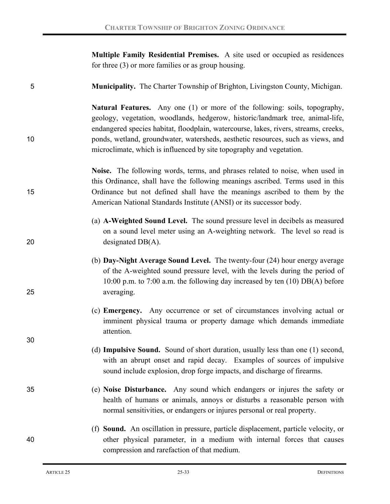**Multiple Family Residential Premises.** A site used or occupied as residences for three (3) or more families or as group housing.

5 **Municipality.** The Charter Township of Brighton, Livingston County, Michigan.

**Natural Features.** Any one (1) or more of the following: soils, topography, geology, vegetation, woodlands, hedgerow, historic/landmark tree, animal-life, endangered species habitat, floodplain, watercourse, lakes, rivers, streams, creeks, 10 ponds, wetland, groundwater, watersheds, aesthetic resources, such as views, and microclimate, which is influenced by site topography and vegetation.

**Noise.** The following words, terms, and phrases related to noise, when used in this Ordinance, shall have the following meanings ascribed. Terms used in this 15 Ordinance but not defined shall have the meanings ascribed to them by the American National Standards Institute (ANSI) or its successor body.

- (a) **A-Weighted Sound Level.** The sound pressure level in decibels as measured on a sound level meter using an A-weighting network. The level so read is 20 designated DB(A).
- (b) **Day-Night Average Sound Level.** The twenty-four (24) hour energy average of the A-weighted sound pressure level, with the levels during the period of 10:00 p.m. to 7:00 a.m. the following day increased by ten (10) DB(A) before 25 averaging.
	- (c) **Emergency.** Any occurrence or set of circumstances involving actual or imminent physical trauma or property damage which demands immediate attention.
	- (d) **Impulsive Sound.** Sound of short duration, usually less than one (1) second, with an abrupt onset and rapid decay. Examples of sources of impulsive sound include explosion, drop forge impacts, and discharge of firearms.
- 35 (e) **Noise Disturbance.** Any sound which endangers or injures the safety or health of humans or animals, annoys or disturbs a reasonable person with normal sensitivities, or endangers or injures personal or real property.

## (f) **Sound.** An oscillation in pressure, particle displacement, particle velocity, or 40 other physical parameter, in a medium with internal forces that causes compression and rarefaction of that medium.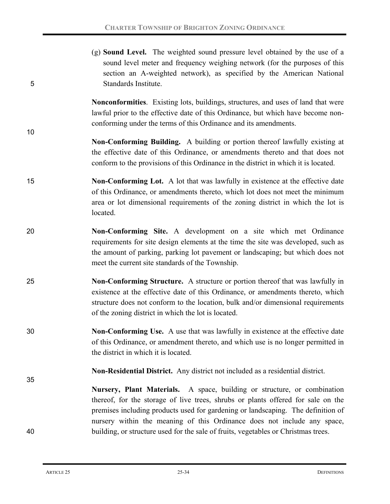| 5  | (g) <b>Sound Level.</b> The weighted sound pressure level obtained by the use of a<br>sound level meter and frequency weighing network (for the purposes of this<br>section an A-weighted network), as specified by the American National<br>Standards Institute.                                                            |  |  |
|----|------------------------------------------------------------------------------------------------------------------------------------------------------------------------------------------------------------------------------------------------------------------------------------------------------------------------------|--|--|
| 10 | Nonconformities. Existing lots, buildings, structures, and uses of land that were<br>lawful prior to the effective date of this Ordinance, but which have become non-<br>conforming under the terms of this Ordinance and its amendments.                                                                                    |  |  |
|    | <b>Non-Conforming Building.</b> A building or portion thereof lawfully existing at<br>the effective date of this Ordinance, or amendments thereto and that does not<br>conform to the provisions of this Ordinance in the district in which it is located.                                                                   |  |  |
| 15 | Non-Conforming Lot. A lot that was lawfully in existence at the effective date<br>of this Ordinance, or amendments thereto, which lot does not meet the minimum<br>area or lot dimensional requirements of the zoning district in which the lot is<br>located.                                                               |  |  |
| 20 | Non-Conforming Site. A development on a site which met Ordinance<br>requirements for site design elements at the time the site was developed, such as<br>the amount of parking, parking lot pavement or landscaping; but which does not<br>meet the current site standards of the Township.                                  |  |  |
| 25 | Non-Conforming Structure. A structure or portion thereof that was lawfully in<br>existence at the effective date of this Ordinance, or amendments thereto, which<br>structure does not conform to the location, bulk and/or dimensional requirements<br>of the zoning district in which the lot is located.                  |  |  |
| 30 | Non-Conforming Use. A use that was lawfully in existence at the effective date<br>of this Ordinance, or amendment thereto, and which use is no longer permitted in<br>the district in which it is located.                                                                                                                   |  |  |
| 35 | Non-Residential District. Any district not included as a residential district.                                                                                                                                                                                                                                               |  |  |
|    | Nursery, Plant Materials. A space, building or structure, or combination<br>thereof, for the storage of live trees, shrubs or plants offered for sale on the<br>premises including products used for gardening or landscaping. The definition of<br>nursery within the meaning of this Ordinance does not include any space, |  |  |
| 40 | building, or structure used for the sale of fruits, vegetables or Christmas trees.                                                                                                                                                                                                                                           |  |  |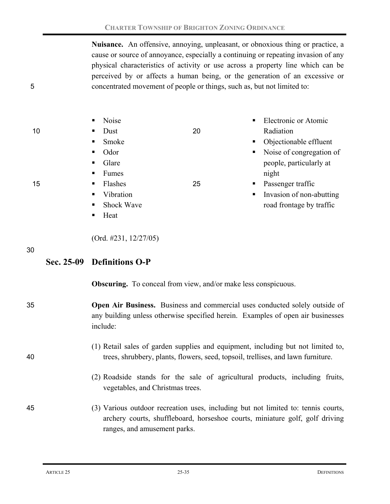**Nuisance.** An offensive, annoying, unpleasant, or obnoxious thing or practice, a cause or source of annoyance, especially a continuing or repeating invasion of any physical characteristics of activity or use across a property line which can be perceived by or affects a human being, or the generation of an excessive or 5 concentrated movement of people or things, such as, but not limited to:

|    | Noise<br>$\blacksquare$             |    | Electronic or Atomic<br>$\blacksquare$ |
|----|-------------------------------------|----|----------------------------------------|
| 10 | Dust<br>$\blacksquare$              | 20 | Radiation                              |
|    | Smoke<br>$\blacksquare$             |    | • Objectionable effluent               |
|    | Odor<br>$\blacksquare$              |    | • Noise of congregation of             |
|    | Glare<br>$\blacksquare$             |    | people, particularly at                |
|    | Fumes<br>$\blacksquare$ .           |    | night                                  |
| 15 | Flashes<br>$\blacksquare$           | 25 | • Passenger traffic                    |
|    | Vibration<br>$\blacksquare$         |    | • Invasion of non-abutting             |
|    | <b>Shock Wave</b><br>$\blacksquare$ |    | road frontage by traffic               |
|    | Heat<br>$\blacksquare$              |    |                                        |

(Ord. #231, 12/27/05)

30

## **Sec. 25-09 Definitions O-P**

**Obscuring.** To conceal from view, and/or make less conspicuous.

- 35 **Open Air Business.** Business and commercial uses conducted solely outside of any building unless otherwise specified herein. Examples of open air businesses include:
- (1) Retail sales of garden supplies and equipment, including but not limited to, 40 trees, shrubbery, plants, flowers, seed, topsoil, trellises, and lawn furniture.
	- (2) Roadside stands for the sale of agricultural products, including fruits, vegetables, and Christmas trees.
- 45 (3) Various outdoor recreation uses, including but not limited to: tennis courts, archery courts, shuffleboard, horseshoe courts, miniature golf, golf driving ranges, and amusement parks.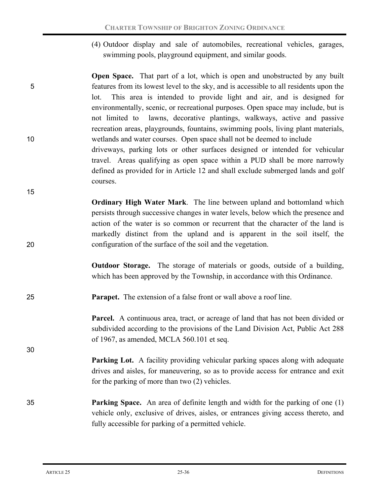- (4) Outdoor display and sale of automobiles, recreational vehicles, garages, swimming pools, playground equipment, and similar goods.
- **Open Space.** That part of a lot, which is open and unobstructed by any built 5 features from its lowest level to the sky, and is accessible to all residents upon the lot. This area is intended to provide light and air, and is designed for environmentally, scenic, or recreational purposes. Open space may include, but is not limited to lawns, decorative plantings, walkways, active and passive recreation areas, playgrounds, fountains, swimming pools, living plant materials, 10 wetlands and water courses. Open space shall not be deemed to include driveways, parking lots or other surfaces designed or intended for vehicular travel. Areas qualifying as open space within a PUD shall be more narrowly defined as provided for in Article 12 and shall exclude submerged lands and golf courses.
- **Ordinary High Water Mark**. The line between upland and bottomland which persists through successive changes in water levels, below which the presence and action of the water is so common or recurrent that the character of the land is markedly distinct from the upland and is apparent in the soil itself, the 20 configuration of the surface of the soil and the vegetation.
	- **Outdoor Storage.** The storage of materials or goods, outside of a building, which has been approved by the Township, in accordance with this Ordinance.
- 25 **Parapet.** The extension of a false front or wall above a roof line.

**Parcel.** A continuous area, tract, or acreage of land that has not been divided or subdivided according to the provisions of the Land Division Act, Public Act 288 of 1967, as amended, MCLA 560.101 et seq.

**Parking Lot.** A facility providing vehicular parking spaces along with adequate drives and aisles, for maneuvering, so as to provide access for entrance and exit for the parking of more than two (2) vehicles.

35 **Parking Space.** An area of definite length and width for the parking of one (1) vehicle only, exclusive of drives, aisles, or entrances giving access thereto, and fully accessible for parking of a permitted vehicle.

15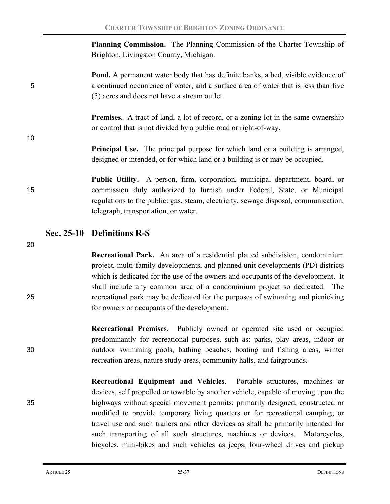**Planning Commission.** The Planning Commission of the Charter Township of Brighton, Livingston County, Michigan.

**Pond.** A permanent water body that has definite banks, a bed, visible evidence of 5 a continued occurrence of water, and a surface area of water that is less than five (5) acres and does not have a stream outlet.

> **Premises.** A tract of land, a lot of record, or a zoning lot in the same ownership or control that is not divided by a public road or right-of-way.

> **Principal Use.** The principal purpose for which land or a building is arranged, designed or intended, or for which land or a building is or may be occupied.

**Public Utility.** A person, firm, corporation, municipal department, board, or 15 commission duly authorized to furnish under Federal, State, or Municipal regulations to the public: gas, steam, electricity, sewage disposal, communication, telegraph, transportation, or water.

## **Sec. 25-10 Definitions R-S**

20

10

**Recreational Park.** An area of a residential platted subdivision, condominium project, multi-family developments, and planned unit developments (PD) districts which is dedicated for the use of the owners and occupants of the development. It shall include any common area of a condominium project so dedicated. The 25 recreational park may be dedicated for the purposes of swimming and picnicking for owners or occupants of the development.

**Recreational Premises.** Publicly owned or operated site used or occupied predominantly for recreational purposes, such as: parks, play areas, indoor or 30 outdoor swimming pools, bathing beaches, boating and fishing areas, winter recreation areas, nature study areas, community halls, and fairgrounds.

**Recreational Equipment and Vehicles**. Portable structures, machines or devices, self propelled or towable by another vehicle, capable of moving upon the 35 highways without special movement permits; primarily designed, constructed or modified to provide temporary living quarters or for recreational camping, or travel use and such trailers and other devices as shall be primarily intended for such transporting of all such structures, machines or devices. Motorcycles, bicycles, mini-bikes and such vehicles as jeeps, four-wheel drives and pickup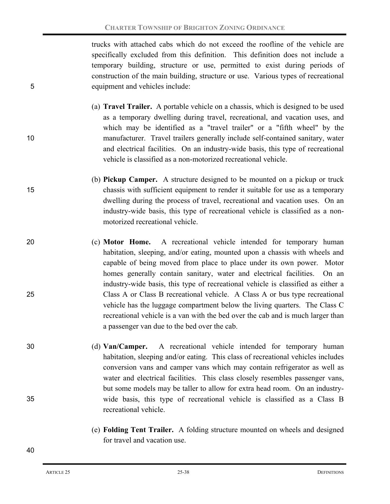trucks with attached cabs which do not exceed the roofline of the vehicle are specifically excluded from this definition. This definition does not include a temporary building, structure or use, permitted to exist during periods of construction of the main building, structure or use. Various types of recreational 5 equipment and vehicles include:

- (a) **Travel Trailer.** A portable vehicle on a chassis, which is designed to be used as a temporary dwelling during travel, recreational, and vacation uses, and which may be identified as a "travel trailer" or a "fifth wheel" by the 10 manufacturer. Travel trailers generally include self-contained sanitary, water and electrical facilities. On an industry-wide basis, this type of recreational vehicle is classified as a non-motorized recreational vehicle.
- (b) **Pickup Camper.** A structure designed to be mounted on a pickup or truck 15 chassis with sufficient equipment to render it suitable for use as a temporary dwelling during the process of travel, recreational and vacation uses. On an industry-wide basis, this type of recreational vehicle is classified as a nonmotorized recreational vehicle.
- 20 (c) **Motor Home.** A recreational vehicle intended for temporary human habitation, sleeping, and/or eating, mounted upon a chassis with wheels and capable of being moved from place to place under its own power. Motor homes generally contain sanitary, water and electrical facilities. On an industry-wide basis, this type of recreational vehicle is classified as either a 25 Class A or Class B recreational vehicle. A Class A or bus type recreational vehicle has the luggage compartment below the living quarters. The Class C recreational vehicle is a van with the bed over the cab and is much larger than a passenger van due to the bed over the cab.
- 30 (d) **Van/Camper.** A recreational vehicle intended for temporary human habitation, sleeping and/or eating. This class of recreational vehicles includes conversion vans and camper vans which may contain refrigerator as well as water and electrical facilities. This class closely resembles passenger vans, but some models may be taller to allow for extra head room. On an industry-35 wide basis, this type of recreational vehicle is classified as a Class B recreational vehicle.
	- (e) **Folding Tent Trailer.** A folding structure mounted on wheels and designed for travel and vacation use.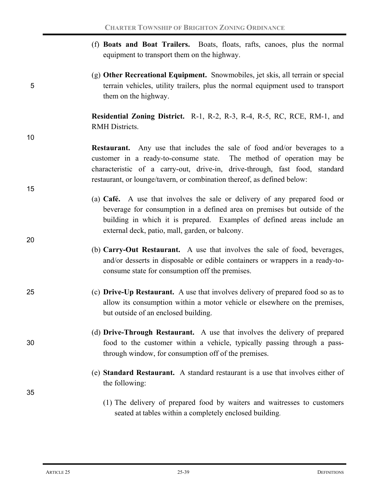- (f) **Boats and Boat Trailers.** Boats, floats, rafts, canoes, plus the normal equipment to transport them on the highway.
- (g) **Other Recreational Equipment.** Snowmobiles, jet skis, all terrain or special 5 terrain vehicles, utility trailers, plus the normal equipment used to transport them on the highway.

**Residential Zoning District.** R-1, R-2, R-3, R-4, R-5, RC, RCE, RM-1, and RMH Districts.

**Restaurant.** Any use that includes the sale of food and/or beverages to a customer in a ready-to-consume state. The method of operation may be characteristic of a carry-out, drive-in, drive-through, fast food, standard restaurant, or lounge/tavern, or combination thereof, as defined below:

- (a) **Café.** A use that involves the sale or delivery of any prepared food or beverage for consumption in a defined area on premises but outside of the building in which it is prepared. Examples of defined areas include an external deck, patio, mall, garden, or balcony.
- (b) **Carry-Out Restaurant.** A use that involves the sale of food, beverages, and/or desserts in disposable or edible containers or wrappers in a ready-toconsume state for consumption off the premises.
- 25 (c) **Drive-Up Restaurant.** A use that involves delivery of prepared food so as to allow its consumption within a motor vehicle or elsewhere on the premises, but outside of an enclosed building.
- (d) **Drive-Through Restaurant.** A use that involves the delivery of prepared 30 food to the customer within a vehicle, typically passing through a passthrough window, for consumption off of the premises.
	- (e) **Standard Restaurant.** A standard restaurant is a use that involves either of the following:
		- (1) The delivery of prepared food by waiters and waitresses to customers seated at tables within a completely enclosed building.

10

15

20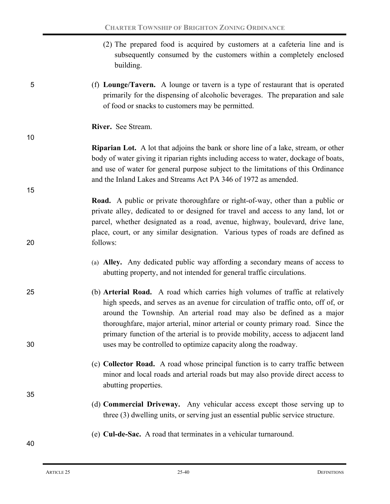- (2) The prepared food is acquired by customers at a cafeteria line and is subsequently consumed by the customers within a completely enclosed building.
- 5 (f) **Lounge/Tavern.** A lounge or tavern is a type of restaurant that is operated primarily for the dispensing of alcoholic beverages. The preparation and sale of food or snacks to customers may be permitted.
	- **River.** See Stream.

## **Riparian Lot.** A lot that adjoins the bank or shore line of a lake, stream, or other body of water giving it riparian rights including access to water, dockage of boats, and use of water for general purpose subject to the limitations of this Ordinance and the Inland Lakes and Streams Act PA 346 of 1972 as amended.

## **Road.** A public or private thoroughfare or right-of-way, other than a public or private alley, dedicated to or designed for travel and access to any land, lot or parcel, whether designated as a road, avenue, highway, boulevard, drive lane, place, court, or any similar designation. Various types of roads are defined as 20 follows:

- (a) **Alley.** Any dedicated public way affording a secondary means of access to abutting property, and not intended for general traffic circulations.
- 25 (b) **Arterial Road.** A road which carries high volumes of traffic at relatively high speeds, and serves as an avenue for circulation of traffic onto, off of, or around the Township. An arterial road may also be defined as a major thoroughfare, major arterial, minor arterial or county primary road. Since the primary function of the arterial is to provide mobility, access to adjacent land 30 uses may be controlled to optimize capacity along the roadway.
	- (c) **Collector Road.** A road whose principal function is to carry traffic between minor and local roads and arterial roads but may also provide direct access to abutting properties.
	- (d) **Commercial Driveway.** Any vehicular access except those serving up to three (3) dwelling units, or serving just an essential public service structure.
	- (e) **Cul-de-Sac.** A road that terminates in a vehicular turnaround.

40

35

10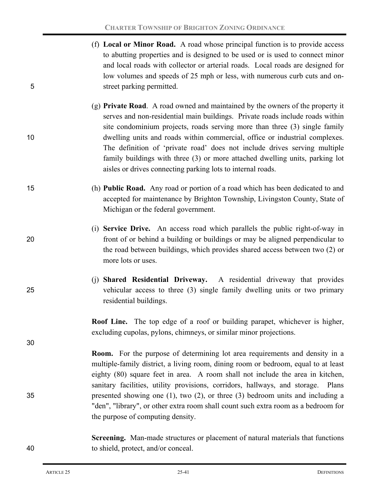- (f) **Local or Minor Road.** A road whose principal function is to provide access to abutting properties and is designed to be used or is used to connect minor and local roads with collector or arterial roads. Local roads are designed for low volumes and speeds of 25 mph or less, with numerous curb cuts and on-5 street parking permitted.
- (g) **Private Road**. A road owned and maintained by the owners of the property it serves and non-residential main buildings. Private roads include roads within site condominium projects, roads serving more than three (3) single family 10 dwelling units and roads within commercial, office or industrial complexes. The definition of 'private road' does not include drives serving multiple family buildings with three (3) or more attached dwelling units, parking lot aisles or drives connecting parking lots to internal roads.
- 15 (h) **Public Road.** Any road or portion of a road which has been dedicated to and accepted for maintenance by Brighton Township, Livingston County, State of Michigan or the federal government.
- (i) **Service Drive.** An access road which parallels the public right-of-way in 20 front of or behind a building or buildings or may be aligned perpendicular to the road between buildings, which provides shared access between two (2) or more lots or uses.
- (j) **Shared Residential Driveway.** A residential driveway that provides 25 vehicular access to three (3) single family dwelling units or two primary residential buildings.

**Roof Line.** The top edge of a roof or building parapet, whichever is higher, excluding cupolas, pylons, chimneys, or similar minor projections.

**Room.** For the purpose of determining lot area requirements and density in a multiple-family district, a living room, dining room or bedroom, equal to at least eighty (80) square feet in area. A room shall not include the area in kitchen, sanitary facilities, utility provisions, corridors, hallways, and storage. Plans 35 presented showing one (1), two (2), or three (3) bedroom units and including a "den", "library", or other extra room shall count such extra room as a bedroom for the purpose of computing density.

**Screening.** Man-made structures or placement of natural materials that functions 40 to shield, protect, and/or conceal.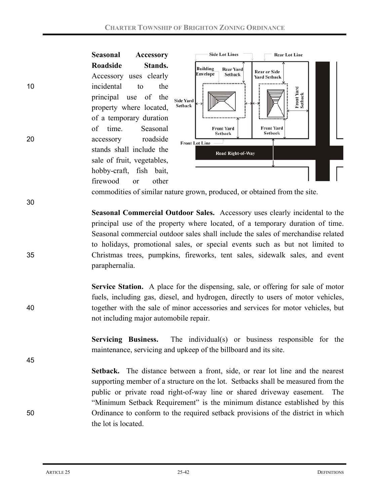

commodities of similar nature grown, produced, or obtained from the site.

**Seasonal Commercial Outdoor Sales.** Accessory uses clearly incidental to the principal use of the property where located, of a temporary duration of time. Seasonal commercial outdoor sales shall include the sales of merchandise related to holidays, promotional sales, or special events such as but not limited to 35 Christmas trees, pumpkins, fireworks, tent sales, sidewalk sales, and event paraphernalia.

**Service Station.**A place for the dispensing, sale, or offering for sale of motor fuels, including gas, diesel, and hydrogen, directly to users of motor vehicles, 40 together with the sale of minor accessories and services for motor vehicles, but not including major automobile repair.

> **Servicing Business.** The individual(s) or business responsible for the maintenance, servicing and upkeep of the billboard and its site.

**Setback.** The distance between a front, side, or rear lot line and the nearest supporting member of a structure on the lot. Setbacks shall be measured from the public or private road right-of-way line or shared driveway easement. The "Minimum Setback Requirement" is the minimum distance established by this 50 Ordinance to conform to the required setback provisions of the district in which the lot is located.

30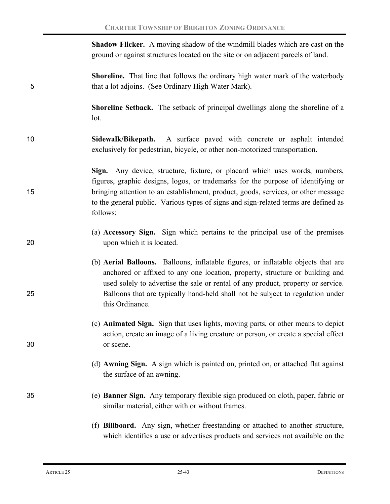|    | <b>Shadow Flicker.</b> A moving shadow of the windmill blades which are cast on the<br>ground or against structures located on the site or on adjacent parcels of land.                                                                                                                                                                                    |
|----|------------------------------------------------------------------------------------------------------------------------------------------------------------------------------------------------------------------------------------------------------------------------------------------------------------------------------------------------------------|
| 5  | <b>Shoreline.</b> That line that follows the ordinary high water mark of the waterbody<br>that a lot adjoins. (See Ordinary High Water Mark).                                                                                                                                                                                                              |
|    | <b>Shoreline Setback.</b> The setback of principal dwellings along the shoreline of a<br>lot.                                                                                                                                                                                                                                                              |
| 10 | Sidewalk/Bikepath. A surface paved with concrete or asphalt intended<br>exclusively for pedestrian, bicycle, or other non-motorized transportation.                                                                                                                                                                                                        |
| 15 | Sign. Any device, structure, fixture, or placard which uses words, numbers,<br>figures, graphic designs, logos, or trademarks for the purpose of identifying or<br>bringing attention to an establishment, product, goods, services, or other message<br>to the general public. Various types of signs and sign-related terms are defined as<br>follows:   |
| 20 | (a) Accessory Sign. Sign which pertains to the principal use of the premises<br>upon which it is located.                                                                                                                                                                                                                                                  |
| 25 | (b) Aerial Balloons. Balloons, inflatable figures, or inflatable objects that are<br>anchored or affixed to any one location, property, structure or building and<br>used solely to advertise the sale or rental of any product, property or service.<br>Balloons that are typically hand-held shall not be subject to regulation under<br>this Ordinance. |
| 30 | (c) Animated Sign. Sign that uses lights, moving parts, or other means to depict<br>action, create an image of a living creature or person, or create a special effect<br>or scene.                                                                                                                                                                        |
|    | (d) Awning Sign. A sign which is painted on, printed on, or attached flat against<br>the surface of an awning.                                                                                                                                                                                                                                             |
| 35 | (e) <b>Banner Sign.</b> Any temporary flexible sign produced on cloth, paper, fabric or<br>similar material, either with or without frames.                                                                                                                                                                                                                |
|    | (f) Billboard. Any sign, whether freestanding or attached to another structure,<br>which identifies a use or advertises products and services not available on the                                                                                                                                                                                         |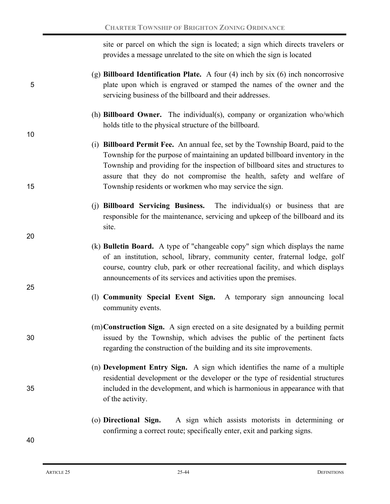site or parcel on which the sign is located; a sign which directs travelers or provides a message unrelated to the site on which the sign is located

- (g) **Billboard Identification Plate.** A four (4) inch by six (6) inch noncorrosive 5 plate upon which is engraved or stamped the names of the owner and the servicing business of the billboard and their addresses.
	- (h) **Billboard Owner.** The individual(s), company or organization who/which holds title to the physical structure of the billboard.
- (i) **Billboard Permit Fee.** An annual fee, set by the Township Board, paid to the Township for the purpose of maintaining an updated billboard inventory in the Township and providing for the inspection of billboard sites and structures to assure that they do not compromise the health, safety and welfare of 15 Township residents or workmen who may service the sign.
	- (j) **Billboard Servicing Business.** The individual(s) or business that are responsible for the maintenance, servicing and upkeep of the billboard and its site.
	- (k) **Bulletin Board.** A type of "changeable copy" sign which displays the name of an institution, school, library, community center, fraternal lodge, golf course, country club, park or other recreational facility, and which displays announcements of its services and activities upon the premises.
		- (l) **Community Special Event Sign.** A temporary sign announcing local community events.
- (m)**Construction Sign.** A sign erected on a site designated by a building permit 30 issued by the Township, which advises the public of the pertinent facts regarding the construction of the building and its site improvements.
- (n) **Development Entry Sign.** A sign which identifies the name of a multiple residential development or the developer or the type of residential structures 35 included in the development, and which is harmonious in appearance with that of the activity.
	- (o) **Directional Sign.**A sign which assists motorists in determining or confirming a correct route; specifically enter, exit and parking signs.

10

20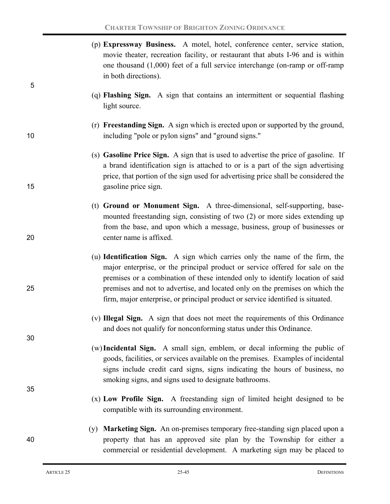| 5  | (p) Expressway Business. A motel, hotel, conference center, service station,<br>movie theater, recreation facility, or restaurant that abuts I-96 and is within<br>one thousand $(1,000)$ feet of a full service interchange (on-ramp or off-ramp<br>in both directions).                                                                                                                                                |
|----|--------------------------------------------------------------------------------------------------------------------------------------------------------------------------------------------------------------------------------------------------------------------------------------------------------------------------------------------------------------------------------------------------------------------------|
|    | (q) Flashing Sign. A sign that contains an intermittent or sequential flashing<br>light source.                                                                                                                                                                                                                                                                                                                          |
| 10 | (r) Freestanding Sign. A sign which is erected upon or supported by the ground,<br>including "pole or pylon signs" and "ground signs."                                                                                                                                                                                                                                                                                   |
| 15 | (s) Gasoline Price Sign. A sign that is used to advertise the price of gasoline. If<br>a brand identification sign is attached to or is a part of the sign advertising<br>price, that portion of the sign used for advertising price shall be considered the<br>gasoline price sign.                                                                                                                                     |
| 20 | (t) Ground or Monument Sign. A three-dimensional, self-supporting, base-<br>mounted freestanding sign, consisting of two (2) or more sides extending up<br>from the base, and upon which a message, business, group of businesses or<br>center name is affixed.                                                                                                                                                          |
| 25 | (u) <b>Identification Sign.</b> A sign which carries only the name of the firm, the<br>major enterprise, or the principal product or service offered for sale on the<br>premises or a combination of these intended only to identify location of said<br>premises and not to advertise, and located only on the premises on which the<br>firm, major enterprise, or principal product or service identified is situated. |
| 30 | (v) Illegal Sign. A sign that does not meet the requirements of this Ordinance<br>and does not qualify for nonconforming status under this Ordinance.                                                                                                                                                                                                                                                                    |
|    | (w) Incidental Sign. A small sign, emblem, or decal informing the public of<br>goods, facilities, or services available on the premises. Examples of incidental<br>signs include credit card signs, signs indicating the hours of business, no<br>smoking signs, and signs used to designate bathrooms.                                                                                                                  |
| 35 | (x) Low Profile Sign. A freestanding sign of limited height designed to be<br>compatible with its surrounding environment.                                                                                                                                                                                                                                                                                               |
| 40 | (y) <b>Marketing Sign.</b> An on-premises temporary free-standing sign placed upon a<br>property that has an approved site plan by the Township for either a<br>commercial or residential development. A marketing sign may be placed to                                                                                                                                                                                 |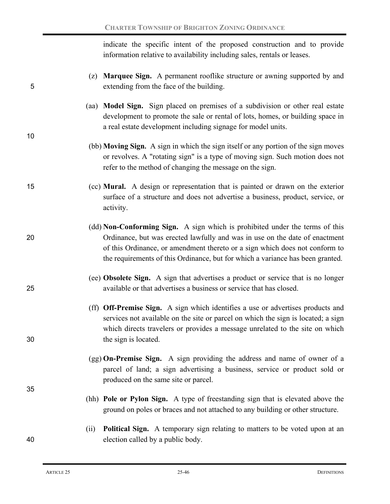indicate the specific intent of the proposed construction and to provide information relative to availability including sales, rentals or leases.

| 5  | (z) <b>Marquee Sign.</b> A permanent rooflike structure or awning supported by and<br>extending from the face of the building.                                                                                                                                                                                               |
|----|------------------------------------------------------------------------------------------------------------------------------------------------------------------------------------------------------------------------------------------------------------------------------------------------------------------------------|
| 10 | (aa) Model Sign. Sign placed on premises of a subdivision or other real estate<br>development to promote the sale or rental of lots, homes, or building space in<br>a real estate development including signage for model units.                                                                                             |
|    | (bb) Moving Sign. A sign in which the sign itself or any portion of the sign moves<br>or revolves. A "rotating sign" is a type of moving sign. Such motion does not<br>refer to the method of changing the message on the sign.                                                                                              |
| 15 | (cc) Mural. A design or representation that is painted or drawn on the exterior<br>surface of a structure and does not advertise a business, product, service, or<br>activity.                                                                                                                                               |
| 20 | (dd) Non-Conforming Sign. A sign which is prohibited under the terms of this<br>Ordinance, but was erected lawfully and was in use on the date of enactment<br>of this Ordinance, or amendment thereto or a sign which does not conform to<br>the requirements of this Ordinance, but for which a variance has been granted. |
| 25 | (ee) Obsolete Sign. A sign that advertises a product or service that is no longer<br>available or that advertises a business or service that has closed.                                                                                                                                                                     |
| 30 | (ff) Off-Premise Sign. A sign which identifies a use or advertises products and<br>services not available on the site or parcel on which the sign is located; a sign<br>which directs travelers or provides a message unrelated to the site on which<br>the sign is located.                                                 |
| 35 | (gg) On-Premise Sign. A sign providing the address and name of owner of a<br>parcel of land; a sign advertising a business, service or product sold or<br>produced on the same site or parcel.                                                                                                                               |
|    | (hh) Pole or Pylon Sign. A type of freestanding sign that is elevated above the<br>ground on poles or braces and not attached to any building or other structure.                                                                                                                                                            |
| 40 | <b>Political Sign.</b> A temporary sign relating to matters to be voted upon at an<br>(ii)<br>election called by a public body.                                                                                                                                                                                              |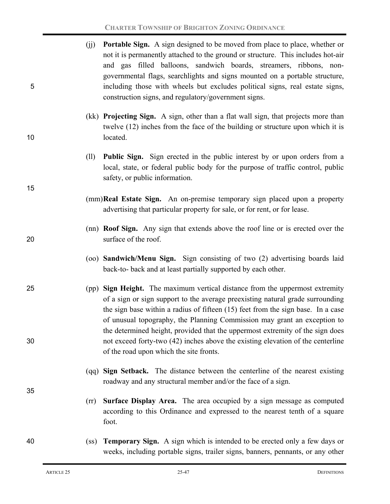| 5  | (jj)              | <b>Portable Sign.</b> A sign designed to be moved from place to place, whether or<br>not it is permanently attached to the ground or structure. This includes hot-air<br>and gas filled balloons, sandwich boards, streamers, ribbons, non-<br>governmental flags, searchlights and signs mounted on a portable structure,<br>including those with wheels but excludes political signs, real estate signs,<br>construction signs, and regulatory/government signs. |
|----|-------------------|--------------------------------------------------------------------------------------------------------------------------------------------------------------------------------------------------------------------------------------------------------------------------------------------------------------------------------------------------------------------------------------------------------------------------------------------------------------------|
| 10 |                   | (kk) Projecting Sign. A sign, other than a flat wall sign, that projects more than<br>twelve (12) inches from the face of the building or structure upon which it is<br>located.                                                                                                                                                                                                                                                                                   |
|    | (11)              | <b>Public Sign.</b> Sign erected in the public interest by or upon orders from a<br>local, state, or federal public body for the purpose of traffic control, public<br>safety, or public information.                                                                                                                                                                                                                                                              |
| 15 |                   | (mm) Real Estate Sign. An on-premise temporary sign placed upon a property<br>advertising that particular property for sale, or for rent, or for lease.                                                                                                                                                                                                                                                                                                            |
| 20 |                   | (nn) <b>Roof Sign.</b> Any sign that extends above the roof line or is erected over the<br>surface of the roof.                                                                                                                                                                                                                                                                                                                                                    |
|    |                   | (oo) Sandwich/Menu Sign. Sign consisting of two (2) advertising boards laid<br>back-to- back and at least partially supported by each other.                                                                                                                                                                                                                                                                                                                       |
| 25 |                   | (pp) Sign Height. The maximum vertical distance from the uppermost extremity<br>of a sign or sign support to the average preexisting natural grade surrounding<br>the sign base within a radius of fifteen (15) feet from the sign base. In a case<br>of unusual topography, the Planning Commission may grant an exception to                                                                                                                                     |
| 30 |                   | the determined height, provided that the uppermost extremity of the sign does<br>not exceed forty-two (42) inches above the existing elevation of the centerline<br>of the road upon which the site fronts.                                                                                                                                                                                                                                                        |
| 35 |                   | (qq) Sign Setback. The distance between the centerline of the nearest existing<br>roadway and any structural member and/or the face of a sign.                                                                                                                                                                                                                                                                                                                     |
|    | (rr)              | Surface Display Area. The area occupied by a sign message as computed<br>according to this Ordinance and expressed to the nearest tenth of a square<br>foot.                                                                                                                                                                                                                                                                                                       |
| 40 | (s <sub>s</sub> ) | <b>Temporary Sign.</b> A sign which is intended to be erected only a few days or<br>weeks, including portable signs, trailer signs, banners, pennants, or any other                                                                                                                                                                                                                                                                                                |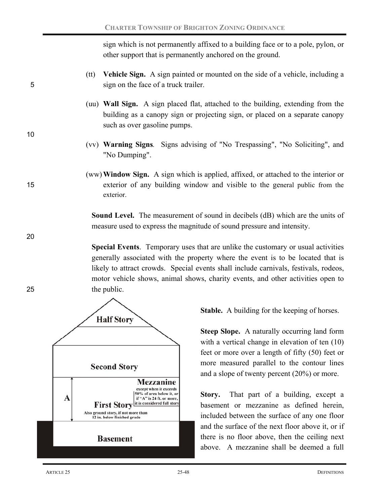sign which is not permanently affixed to a building face or to a pole, pylon, or other support that is permanently anchored on the ground.

- (tt) **Vehicle Sign.** A sign painted or mounted on the side of a vehicle, including a 5 sign on the face of a truck trailer.
	- (uu) **Wall Sign.** A sign placed flat, attached to the building, extending from the building as a canopy sign or projecting sign, or placed on a separate canopy such as over gasoline pumps.
	- (vv) **Warning Signs***.* Signs advising of "No Trespassing", "No Soliciting", and "No Dumping".

## (ww)**Window Sign.** A sign which is applied, affixed, or attached to the interior or 15 exterior of any building window and visible to the general public from the exterior.

**Sound Level.** The measurement of sound in decibels (dB) which are the units of measure used to express the magnitude of sound pressure and intensity.

**Special Events**. Temporary uses that are unlike the customary or usual activities generally associated with the property where the event is to be located that is likely to attract crowds. Special events shall include carnivals, festivals, rodeos, motor vehicle shows, animal shows, charity events, and other activities open to 25 the public.



**Stable.** A building for the keeping of horses.

**Steep Slope.** A naturally occurring land form with a vertical change in elevation of ten  $(10)$ feet or more over a length of fifty (50) feet or more measured parallel to the contour lines and a slope of twenty percent (20%) or more.

Story. That part of a building, except a basement or mezzanine as defined herein, included between the surface of any one floor and the surface of the next floor above it, or if there is no floor above, then the ceiling next above. A mezzanine shall be deemed a full

10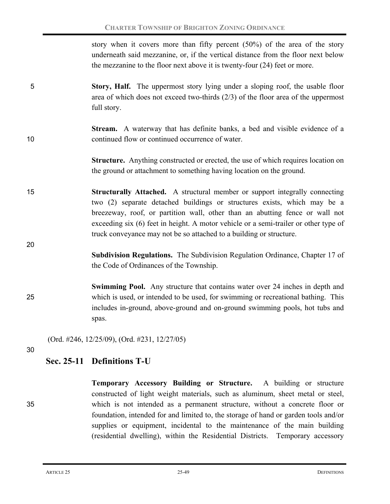story when it covers more than fifty percent (50%) of the area of the story underneath said mezzanine, or, if the vertical distance from the floor next below the mezzanine to the floor next above it is twenty-four (24) feet or more.

- 5 **Story, Half.** The uppermost story lying under a sloping roof, the usable floor area of which does not exceed two-thirds (2/3) of the floor area of the uppermost full story.
- **Stream.** A waterway that has definite banks, a bed and visible evidence of a 10 continued flow or continued occurrence of water.
	- **Structure.** Anything constructed or erected, the use of which requires location on the ground or attachment to something having location on the ground.
- 15 **Structurally Attached.** A structural member or support integrally connecting two (2) separate detached buildings or structures exists, which may be a breezeway, roof, or partition wall, other than an abutting fence or wall not exceeding six (6) feet in height. A motor vehicle or a semi-trailer or other type of truck conveyance may not be so attached to a building or structure.
	- **Subdivision Regulations.** The Subdivision Regulation Ordinance, Chapter 17 of the Code of Ordinances of the Township.
- **Swimming Pool.** Any structure that contains water over 24 inches in depth and 25 which is used, or intended to be used, for swimming or recreational bathing. This includes in-ground, above-ground and on-ground swimming pools, hot tubs and spas.

(Ord. #246, 12/25/09), (Ord. #231, 12/27/05)

30

20

# **Sec. 25-11 Definitions T-U**

**Temporary Accessory Building or Structure.** A building or structure constructed of light weight materials, such as aluminum, sheet metal or steel, 35 which is not intended as a permanent structure, without a concrete floor or foundation, intended for and limited to, the storage of hand or garden tools and/or supplies or equipment, incidental to the maintenance of the main building (residential dwelling), within the Residential Districts. Temporary accessory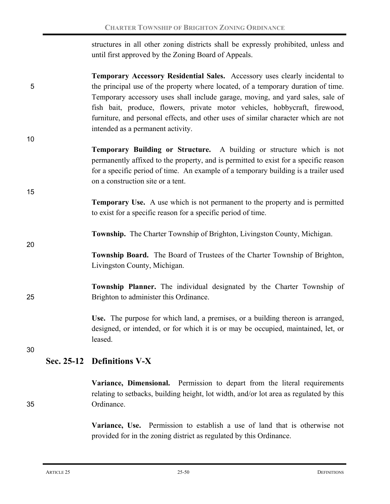structures in all other zoning districts shall be expressly prohibited, unless and until first approved by the Zoning Board of Appeals.

- **Temporary Accessory Residential Sales.** Accessory uses clearly incidental to 5 the principal use of the property where located, of a temporary duration of time. Temporary accessory uses shall include garage, moving, and yard sales, sale of fish bait, produce, flowers, private motor vehicles, hobbycraft, firewood, furniture, and personal effects, and other uses of similar character which are not intended as a permanent activity.
	- **Temporary Building or Structure.** A building or structure which is not permanently affixed to the property, and is permitted to exist for a specific reason for a specific period of time. An example of a temporary building is a trailer used on a construction site or a tent.
		- **Temporary Use.** A use which is not permanent to the property and is permitted to exist for a specific reason for a specific period of time.
			- **Township.**The Charter Township of Brighton, Livingston County, Michigan.
		- **Township Board.**The Board of Trustees of the Charter Township of Brighton, Livingston County, Michigan.
- **Township Planner.** The individual designated by the Charter Township of 25 Brighton to administer this Ordinance.

**Use.** The purpose for which land, a premises, or a building thereon is arranged, designed, or intended, or for which it is or may be occupied, maintained, let, or leased.

30

10

15

20

# **Sec. 25-12 Definitions V-X**

**Variance, Dimensional.** Permission to depart from the literal requirements relating to setbacks, building height, lot width, and/or lot area as regulated by this 35 Ordinance.

> **Variance, Use.** Permission to establish a use of land that is otherwise not provided for in the zoning district as regulated by this Ordinance.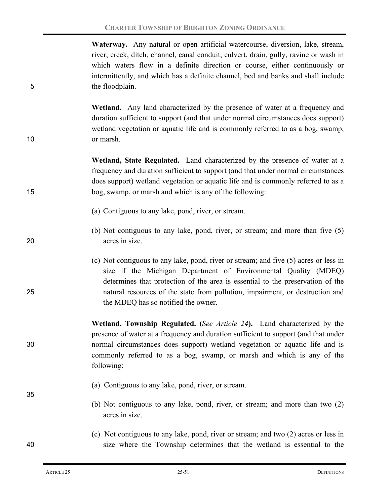**Waterway.** Any natural or open artificial watercourse, diversion, lake, stream, river, creek, ditch, channel, canal conduit, culvert, drain, gully, ravine or wash in which waters flow in a definite direction or course, either continuously or intermittently, and which has a definite channel, bed and banks and shall include 5 the floodplain.

**Wetland.** Any land characterized by the presence of water at a frequency and duration sufficient to support (and that under normal circumstances does support) wetland vegetation or aquatic life and is commonly referred to as a bog, swamp, 10 or marsh.

**Wetland, State Regulated.** Land characterized by the presence of water at a frequency and duration sufficient to support (and that under normal circumstances does support) wetland vegetation or aquatic life and is commonly referred to as a 15 bog, swamp, or marsh and which is any of the following:

- (a) Contiguous to any lake, pond, river, or stream.
- (b) Not contiguous to any lake, pond, river, or stream; and more than five (5) 20 acres in size.
- (c) Not contiguous to any lake, pond, river or stream; and five (5) acres or less in size if the Michigan Department of Environmental Quality (MDEQ) determines that protection of the area is essential to the preservation of the 25 natural resources of the state from pollution, impairment, or destruction and the MDEQ has so notified the owner.

**Wetland, Township Regulated. (***See Article 24***).** Land characterized by the presence of water at a frequency and duration sufficient to support (and that under 30 normal circumstances does support) wetland vegetation or aquatic life and is commonly referred to as a bog, swamp, or marsh and which is any of the following:

- (a) Contiguous to any lake, pond, river, or stream.
	- (b) Not contiguous to any lake, pond, river, or stream; and more than two (2) acres in size.

## (c) Not contiguous to any lake, pond, river or stream; and two (2) acres or less in 40 size where the Township determines that the wetland is essential to the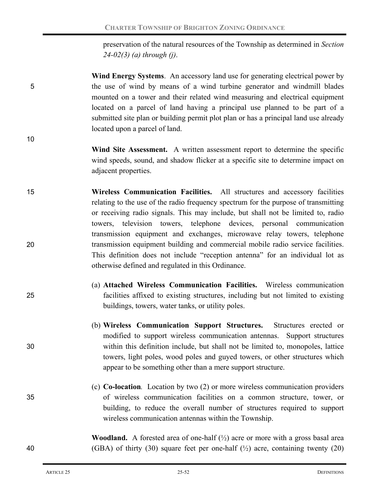preservation of the natural resources of the Township as determined in *Section 24-02(3) (a) through (j)*.

- **Wind Energy Systems**.An accessory land use for generating electrical power by 5 the use of wind by means of a wind turbine generator and windmill blades mounted on a tower and their related wind measuring and electrical equipment located on a parcel of land having a principal use planned to be part of a submitted site plan or building permit plot plan or has a principal land use already located upon a parcel of land.
- **Wind Site Assessment.** A written assessment report to determine the specific wind speeds, sound, and shadow flicker at a specific site to determine impact on adjacent properties.
- 15 **Wireless Communication Facilities.** All structures and accessory facilities relating to the use of the radio frequency spectrum for the purpose of transmitting or receiving radio signals. This may include, but shall not be limited to, radio towers, television towers, telephone devices, personal communication transmission equipment and exchanges, microwave relay towers, telephone 20 transmission equipment building and commercial mobile radio service facilities. This definition does not include "reception antenna" for an individual lot as otherwise defined and regulated in this Ordinance.
- (a) **Attached Wireless Communication Facilities.** Wireless communication 25 facilities affixed to existing structures, including but not limited to existing buildings, towers, water tanks, or utility poles.
- (b) **Wireless Communication Support Structures.** Structures erected or modified to support wireless communication antennas. Support structures 30 within this definition include, but shall not be limited to, monopoles, lattice towers, light poles, wood poles and guyed towers, or other structures which appear to be something other than a mere support structure.
- (c) **Co-location***.* Location by two (2) or more wireless communication providers 35 of wireless communication facilities on a common structure, tower, or building, to reduce the overall number of structures required to support wireless communication antennas within the Township.

**Woodland.** A forested area of one-half  $(\frac{1}{2})$  acre or more with a gross basal area 40 (GBA) of thirty (30) square feet per one-half  $(\frac{1}{2})$  acre, containing twenty (20)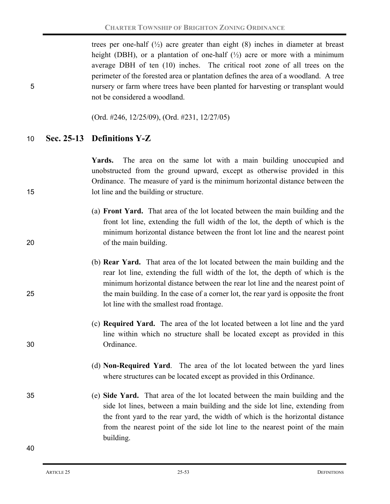trees per one-half  $(\frac{1}{2})$  acre greater than eight (8) inches in diameter at breast height (DBH), or a plantation of one-half  $(\frac{1}{2})$  acre or more with a minimum average DBH of ten (10) inches. The critical root zone of all trees on the perimeter of the forested area or plantation defines the area of a woodland. A tree 5 nursery or farm where trees have been planted for harvesting or transplant would not be considered a woodland.

(Ord. #246, 12/25/09), (Ord. #231, 12/27/05)

## 10 **Sec. 25-13 Definitions Y-Z**

**Yards.** The area on the same lot with a main building unoccupied and unobstructed from the ground upward, except as otherwise provided in this Ordinance. The measure of yard is the minimum horizontal distance between the 15 lot line and the building or structure.

- (a) **Front Yard.** That area of the lot located between the main building and the front lot line, extending the full width of the lot, the depth of which is the minimum horizontal distance between the front lot line and the nearest point 20 of the main building.
- (b) **Rear Yard.** That area of the lot located between the main building and the rear lot line, extending the full width of the lot, the depth of which is the minimum horizontal distance between the rear lot line and the nearest point of 25 the main building. In the case of a corner lot, the rear yard is opposite the front lot line with the smallest road frontage.
- (c) **Required Yard.** The area of the lot located between a lot line and the yard line within which no structure shall be located except as provided in this 30 Ordinance.
	- (d) **Non-Required Yard**. The area of the lot located between the yard lines where structures can be located except as provided in this Ordinance.
- 35 (e) **Side Yard.** That area of the lot located between the main building and the side lot lines, between a main building and the side lot line, extending from the front yard to the rear yard, the width of which is the horizontal distance from the nearest point of the side lot line to the nearest point of the main building.